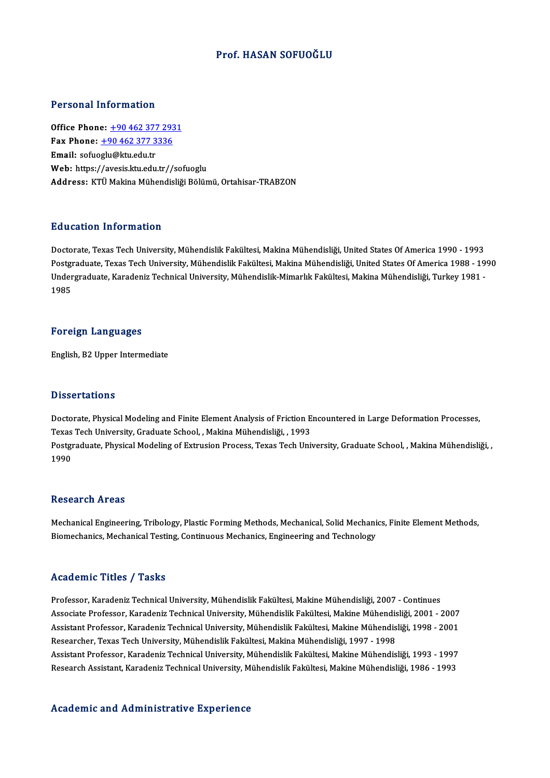### Prof.HASAN SOFUOĞLU

### Personal Information

Office Phone: +90 462 377 2931 Terestian Information<br>Office Phone: <u>+90 462 377 293</u><br>Fax Phone: <u>+90 462 377 3336</u> Office Phone: <u>+90 462 377</u><br>Fax Phone: <u>+90 462 377 3</u><br>Email: sofuo[glu@ktu.edu.tr](tel:+90 462 377 3336) Email: sofuoglu@ktu.edu.tr<br>Web: https://avesis.ktu.edu.tr//sofuoglu Address: KTÜ Makina Mühendisliği Bölümü, Ortahisar-TRABZON

### Education Information

Doctorate, Texas Tech University, Mühendislik Fakültesi, Makina Mühendisliği, United States Of America 1990 - 1993 Pu u sutrom minomination<br>Doctorate, Texas Tech University, Mühendislik Fakültesi, Makina Mühendisliği, United States Of America 1990 - 1993<br>Postgraduate, Texas Tech University, Mühendislik Fakültesi, Makina Mühendisliği, U Doctorate, Texas Tech University, Mühendislik Fakültesi, Makina Mühendisliği, United States Of America 1990 - 1993<br>Postgraduate, Texas Tech University, Mühendislik Fakültesi, Makina Mühendisliği, United States Of America 1 Postgi<br>Under<br>1985 1985<br>Foreign Languages

English, B2 Upper Intermediate

### **Dissertations**

Dissertations<br>Doctorate, Physical Modeling and Finite Element Analysis of Friction Encountered in Large Deformation Processes,<br>Toves Tech University, Craduate School , Makina Mühandisliği , 1993 D'isser tationis<br>Doctorate, Physical Modeling and Finite Element Analysis of Friction E<br>Texas Tech University, Graduate School, , Makina Mühendisliği, , 1993<br>Postanaduate, Physical Modeling of Extrusion Process, Texas Tech Doctorate, Physical Modeling and Finite Element Analysis of Friction Encountered in Large Deformation Processes,<br>Texas Tech University, Graduate School, , Makina Mühendisliği, , 1993<br>Postgraduate, Physical Modeling of Extr Texas Tech University, Graduate School, , Makina Mühendisliği, , 1993<br>Postgraduate, Physical Modeling of Extrusion Process, Texas Tech University, Graduate School, , Makina Mühendisliği, ,<br>1990

### **Research Areas**

Research Areas<br>Mechanical Engineering, Tribology, Plastic Forming Methods, Mechanical, Solid Mechanics, Finite Element Methods,<br>Piamechanics, Mechanical Testing, Continuous Mechanics, Engineering and Technology. resear en 111 023<br>Mechanical Engineering, Tribology, Plastic Forming Methods, Mechanical, Solid Mechani<br>Biomechanics, Mechanical Testing, Continuous Mechanics, Engineering and Technology Biomechanics, Mechanical Testing, Continuous Mechanics, Engineering and Technology<br>Academic Titles / Tasks

Academic Titles / Tasks<br>Professor, Karadeniz Technical University, Mühendislik Fakültesi, Makine Mühendisliği, 2007 - Continues<br>Assesiste Professor, Karadeniz Technical University, Mühendislik Fakültesi, Makine Mühendisliğ Associate Artice 7 Austis<br>Professor, Karadeniz Technical University, Mühendislik Fakültesi, Makine Mühendisliği, 2007 - Continues<br>Associate Professor, Karadeniz Technical University, Mühendislik Fakültesi, Makine Mühendisl Professor, Karadeniz Technical University, Mühendislik Fakültesi, Makine Mühendisliği, 2007 - Continues<br>Associate Professor, Karadeniz Technical University, Mühendislik Fakültesi, Makine Mühendisliği, 2001 - 2007<br>Assistant Associate Professor, Karadeniz Technical University, Mühendislik Fakültesi, Makine Mühendisliği, 2001 - 2007<br>Assistant Professor, Karadeniz Technical University, Mühendislik Fakültesi, Makine Mühendisliği, 1998 - 2001<br>Rese Assistant Professor, Karadeniz Technical University, Mühendislik Fakültesi, Makine Mühendisliği, 1998 - 2001<br>Researcher, Texas Tech University, Mühendislik Fakültesi, Makina Mühendisliği, 1997 - 1998<br>Assistant Professor, K Researcher, Texas Tech University, Mühendislik Fakültesi, Makina Mühendisliği, 1997 - 1998<br>Assistant Professor, Karadeniz Technical University, Mühendislik Fakültesi, Makine Mühendisliği, 1993 - 1997<br>Research Assistant, Ka Research Assistant, Karadeniz Technical University, Mühendislik Fakültesi, Makine Mühendisliği, 1986 - 1993<br>Academic and Administrative Experience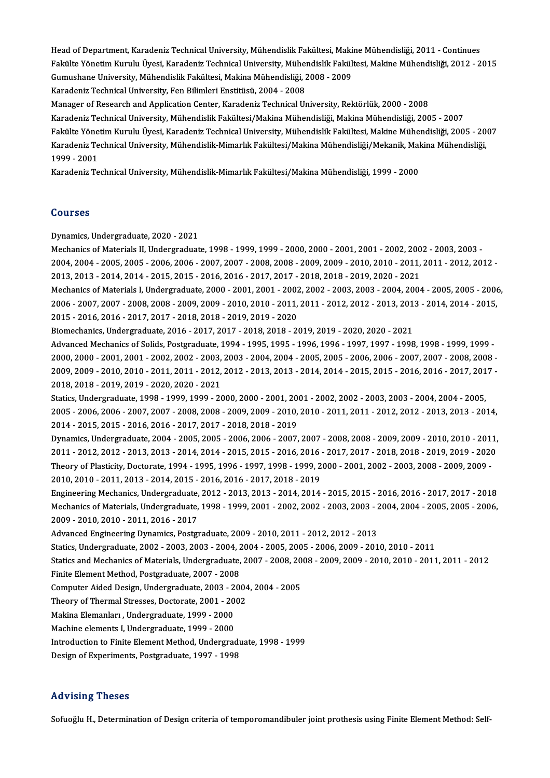Head of Department, Karadeniz Technical University, Mühendislik Fakültesi, Makine Mühendisliği, 2011 - Continues<br>Fekülte Vänetim Kumılu Üyesi, Karadeniz Technical University, Mühendislik Fakültesi, Makine Mühendisliği, 201 Head of Department, Karadeniz Technical University, Mühendislik Fakültesi, Makine Mühendisliği, 2011 - Continues<br>Fakülte Yönetim Kurulu Üyesi, Karadeniz Technical University, Mühendislik Fakültesi, Makine Mühendisliği, 201 Head of Department, Karadeniz Technical University, Mühendislik Fakültesi, Maki<br>Fakülte Yönetim Kurulu Üyesi, Karadeniz Technical University, Mühendislik Fakül<br>Gumushane University, Mühendislik Fakültesi, Makina Mühendisli Fakülte Yönetim Kurulu Üyesi, Karadeniz Technical University, Mühendislik Fakültesi, Makine Mühendisliği, 2012 - 2015<br>Gumushane University, Mühendislik Fakültesi, Makina Mühendisliği, 2008 - 2009<br>Karadeniz Technical Univer

Manager of Research and Application Center, Karadeniz Technical University, Rektörlük, 2000 - 2008

Karadeniz Technical University, Mühendislik Fakültesi/Makina Mühendisliği, Makina Mühendisliği, 2005 - 2007 Manager of Research and Application Center, Karadeniz Technical University, Rektörlük, 2000 - 2008<br>Karadeniz Technical University, Mühendislik Fakültesi/Makina Mühendisliği, Makina Mühendisliği, 2005 - 2007<br>Fakülte Yönetim Karadeniz Technical University, Mühendislik Fakültesi/Makina Mühendisliği, Makina Mühendisliği, 2005 - 2007<br>Fakülte Yönetim Kurulu Üyesi, Karadeniz Technical University, Mühendislik Fakültesi, Makine Mühendisliği, 2005<br>Kar Fakülte Yöne<br>Karadeniz Te<br>1999 - 2001<br>Karadeniz Te Karadeniz Technical University, Mühendislik-Mimarlık Fakültesi/Makina Mühendisliği/Mekanik, Makina Mühendisliği,<br>1999 - 2001<br>Karadeniz Technical University, Mühendislik-Mimarlık Fakültesi/Makina Mühendisliği, 1999 - 2000

### Courses

Dynamics,Undergraduate,2020 -2021

UURISCE<br>Dynamics, Undergraduate, 2020 - 2021<br>Mechanics of Materials II, Undergraduate, 1998 - 1999, 1999 - 2000, 2000 -2001, 2001 - 2002, 2002 - 2003, 2003<br>2004, 2004, 2005, 2005, 2006, 2006, 2007, 2007, 2008, 2009, 2009, Dynamics, Undergraduate, 2020 - 2021<br>Mechanics of Materials II, Undergraduate, 1998 - 1999, 1999 - 2000, 2000 - 2001, 2001 - 2002, 2002 - 2003, 2003<br>2004, 2004 - 2005, 2005 - 2006, 2006 - 2007, 2007 - 2008, 2008 - 2009, 20 Mechanics of Materials II, Undergraduate, 1998 - 1999, 1999 - 2000, 2000 - 2001, 2001 - 2002, 200<br>2004, 2004 - 2005, 2005 - 2006, 2006 - 2007, 2007 - 2008, 2008 - 2009, 2009 - 2010, 2010 - 2011,<br>2013, 2013 - 2014, 2014 - 2 2004, 2004 - 2005, 2005 - 2006, 2006 - 2007, 2007 - 2008, 2008 - 2009, 2009 - 2010, 2010 - 2011, 2011 - 2012, 2012 -<br>2013, 2013 - 2014, 2014 - 2015, 2015 - 2016, 2016 - 2017, 2017 - 2018, 2018 - 2019, 2020 - 2021<br>Mechanics 2013, 2013 - 2014, 2014 - 2015, 2015 - 2016, 2016 - 2017, 2017 - 2018, 2018 - 2019, 2020 - 2021<br>Mechanics of Materials I, Undergraduate, 2000 - 2001, 2001 - 2002, 2002 - 2003, 2003 - 2004, 2004 - 2005, 2005 - 2006<br>2006 - 2 Mechanics of Materials I, Undergraduate, 2000 - 2001, 2001 - 2002<br>2006 - 2007, 2007 - 2008, 2008 - 2009, 2009 - 2010, 2010 - 2011,<br>2015 - 2016, 2016 - 2017, 2017 - 2018, 2018 - 2019, 2019 - 2020<br>Biomechanics Undergraduate, 2006 - 2007, 2007 - 2008, 2008 - 2009, 2009 - 2010, 2010 - 2011, 2011 - 2012, 2012 - 2013, 201<br>2015 - 2016, 2016 - 2017, 2017 - 2018, 2018 - 2019, 2019 - 2020<br>Biomechanics, Undergraduate, 2016 - 2017, 2017 - 2018, 2018 - 2 2015 - 2016, 2016 - 2017, 2017 - 2018, 2018 - 2019, 2019 - 2020<br>Biomechanics, Undergraduate, 2016 - 2017, 2017 - 2018, 2018 - 2019, 2019 - 2020, 2020 - 2021<br>Advanced Mechanics of Solids, Postgraduate, 1994 - 1995, 1995 - 1 2000,2000 -2001,2001 -2002,2002 -2003,2003 -2004,2004 -2005,2005 -2006,2006 -2007,2007 -2008,2008 - Advanced Mechanics of Solids, Postgraduate, 1994 - 1995, 1995 - 1996, 1996 - 1997, 1997 - 1998, 1998 - 1999, 1999 -<br>2000, 2000 - 2001, 2001 - 2002, 2002 - 2003, 2003 - 2004, 2004 - 2005, 2005 - 2006, 2006 - 2007, 2007 - 20 2000, 2000 - 2001, 2001 - 2002, 2002 - 2003,<br>2009, 2009 - 2010, 2010 - 2011, 2011 - 2012,<br>2018, 2018 - 2019, 2019 - 2020, 2020 - 2021<br>Statisc Undergreduate 1998, 1999, 1999, 20 2009, 2009 - 2010, 2010 - 2011, 2011 - 2012, 2012 - 2013, 2013 - 2014, 2014 - 2015, 2015 - 2016, 2016 - 2017, 201<br>2018, 2018 - 2019, 2019 - 2020, 2020 - 2021<br>Statics, Undergraduate, 1998 - 1999, 1999 - 2000, 2000 - 2001, 2 2018, 2018 - 2019, 2019 - 2020, 2020 - 2021<br>Statics, Undergraduate, 1998 - 1999, 1999 - 2000, 2000 - 2001, 2001 - 2002, 2002 - 2003, 2003 - 2004, 2004 - 2005,<br>2005 - 2006, 2006 - 2007, 2007 - 2008, 2008 - 2009, 2009 - 2010 Statics, Undergraduate, 1998 - 1999, 1999 - 2000, 2000 - 2001, 20<br>2005 - 2006, 2006 - 2007, 2007 - 2008, 2008 - 2009, 2009 - 2010,<br>2014 - 2015, 2015 - 2016, 2016 - 2017, 2017 - 2018, 2018 - 2019<br>Dimamiss, Undergraduate, 20 2005 - 2006, 2006 - 2007, 2007 - 2008, 2008 - 2009, 2009 - 2010, 2010 - 2011, 2011 - 2012, 2012 - 2013, 2013 - 2014,<br>2014 - 2015, 2015 - 2016, 2016 - 2017, 2017 - 2018, 2018 - 2019<br>Dynamics, Undergraduate, 2004 - 2005, 200 2014 - 2015, 2015 - 2016, 2016 - 2017, 2017 - 2018, 2018 - 2019<br>Dynamics, Undergraduate, 2004 - 2005, 2005 - 2006, 2006 - 2007, 2007 - 2008, 2008 - 2009, 2009 - 2010, 2010 - 2011,<br>2011 - 2012, 2012 - 2013, 2013 - 2014, 201 Dynamics, Undergraduate, 2004 - 2005, 2005 - 2006, 2006 - 2007, 2007 - 2008, 2008 - 2009, 2009 - 2010, 2010 - 201<br>2011 - 2012, 2012 - 2013, 2013 - 2014, 2014 - 2015, 2015 - 2016, 2016 - 2017, 2017 - 2018, 2018 - 2019, 2019 2011 - 2012, 2012 - 2013, 2013 - 2014, 2014 - 2015, 2015 - 2016, 2016 - 2017, 2017 - 2018, 2018 - 2019, 2019 - 2020<br>Theory of Plasticity, Doctorate, 1994 - 1995, 1996 - 1997, 1998 - 1999, 2000 - 2001, 2002 - 2003, 2008 - 2 EngineeringMechanics,Undergraduate,2012 -2013,2013 -2014,2014 -2015,2015 -2016,2016 -2017,2017 -2018 2010, 2010 - 2011, 2013 - 2014, 2015 - 2016, 2016 - 2017, 2018 - 2019<br>Engineering Mechanics, Undergraduate, 2012 - 2013, 2013 - 2014, 2014 - 2015, 2015 - 2016, 2016 - 2017, 2017 - 2018<br>Mechanics of Materials, Undergraduate Engineering Mechanics, Undergraduate,<br>Mechanics of Materials, Undergraduate,<br>2009 - 2010, 2010 - 2011, 2016 - 2017<br>Advanced Engineering Dynamics, Bester Mechanics of Materials, Undergraduate, 1998 - 1999, 2001 - 2002, 2002 - 2003, 2003 - 2<br>2009 - 2010, 2010 - 2011, 2016 - 2017<br>Advanced Engineering Dynamics, Postgraduate, 2009 - 2010, 2011 - 2012, 2012 - 2013<br>Statisc Underg 2009 - 2010, 2010 - 2011, 2016 - 2017<br>Advanced Engineering Dynamics, Postgraduate, 2009 - 2010, 2011 - 2012, 2012 - 2013<br>Statics, Undergraduate, 2002 - 2003, 2003 - 2004, 2004 - 2005, 2005 - 2006, 2009 - 2010, 2010 - 2011 Advanced Engineering Dynamics, Postgraduate, 2009 - 2010, 2011 - 2012, 2012 - 2013<br>Statics, Undergraduate, 2002 - 2003, 2003 - 2004, 2004 - 2005, 2005 - 2006, 2009 - 2010, 2010 - 2011<br>Statics and Mechanics of Materials, Un Statics, Undergraduate, 2002 - 2003, 2003 - 2004, 2<br>Statics and Mechanics of Materials, Undergraduate,<br>Finite Element Method, Postgraduate, 2007 - 2008<br>Computer Aided Desirn, Undergraduate, 2002, 200 Statics and Mechanics of Materials, Undergraduate, 2007 - 2008, 20<br>Finite Element Method, Postgraduate, 2007 - 2008<br>Computer Aided Design, Undergraduate, 2003 - 2004, 2004 - 2005<br>Theory of Thermal Stresses, Doctorate, 2001 Finite Element Method, Postgraduate, 2007 - 2008<br>Computer Aided Design, Undergraduate, 2003 - 2004<br>Theory of Thermal Stresses, Doctorate, 2001 - 2002<br>Makina Flamankay, Undergraduate, 1999 - 2000 Computer Aided Design, Undergraduate, 2003 - 2<br>Theory of Thermal Stresses, Doctorate, 2001 - 20<br>Makina Elemanları , Undergraduate, 1999 - 2000<br>Machina elemants I. Undergraduate, 1999 - 2000 Theory of Thermal Stresses, Doctorate, 2001 - 2002<br>Makina Elemanları , Undergraduate, 1999 - 2000<br>Machine elements I, Undergraduate, 1999 - 2000 Makina Elemanları , Undergraduate, 1999 - 2000<br>Machine elements I, Undergraduate, 1999 - 2000<br>Introduction to Finite Element Method, Undergraduate, 1998 - 1999<br>Pesism of Euneriments, Restsraduate, 1997 - 1999 Machine elements I, Undergraduate, 1999 - 2000<br>Introduction to Finite Element Method, Undergradu<br>Design of Experiments, Postgraduate, 1997 - 1998

Design of Experiments, Postgraduate, 1997 - 1998<br>Advising Theses

Sofuoğlu H., Determination of Design criteria of temporomandibuler joint prothesis using Finite Element Method: Self-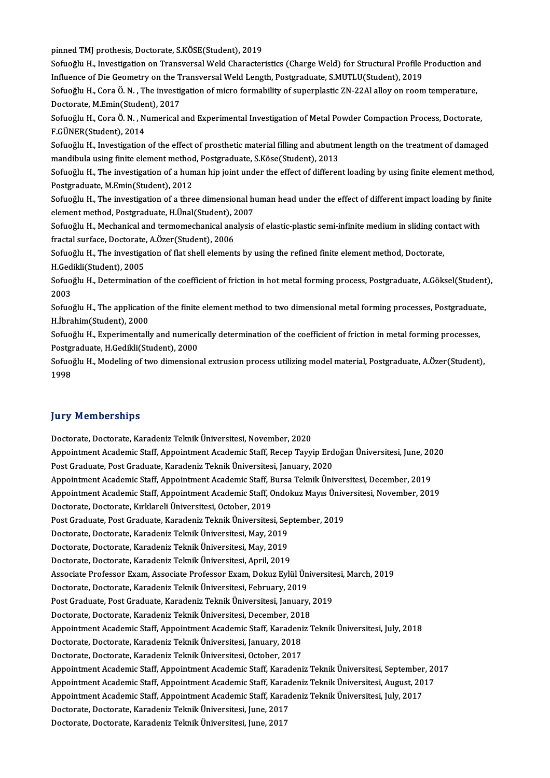pinned TMJ prothesis, Doctorate, S.KÖSE(Student), 2019

Sofuoğlu H., Investigation on Transversal Weld Characteristics (Charge Weld) for Structural Profile Production and pinned TMJ prothesis, Doctorate, S.KÖSE(Student), 2019<br>Sofuoğlu H., Investigation on Transversal Weld Characteristics (Charge Weld) for Structural Profile |<br>Influence of Die Geometry on the Transversal Weld Length, Postgra

Sofuoğlu H., Cora Ö.N., The investigation of micro formability of superplastic ZN-22Al alloy on room temperature, Influence of Die Geometry on the T<br>Sofuoğlu H., Cora Ö. N. , The investi;<br>Doctorate, M.Emin(Student), 2017<br>Sofuoğlu H. Cora Ö. N. , Numerical Sofuoğlu H., Cora Ö. N. , The investigation of micro formability of superplastic ZN-22Al alloy on room temperature,<br>Doctorate, M.Emin(Student), 2017<br>Sofuoğlu H., Cora Ö. N. , Numerical and Experimental Investigation of Met

Doctorate, M.Emin(Student), 2017<br>Sofuoğlu H., Cora Ö. N. , Numerical<br>F.GÜNER(Student), 2014 Sofuoğlu H., Cora Ö. N. , Numerical and Experimental Investigation of Metal Powder Compaction Process, Doctorate,<br>F.GÜNER(Student), 2014<br>Sofuoğlu H., Investigation of the effect of prosthetic material filling and abutment

Sofuoğlu H., Investigation of the effect of prosthetic material filling and abutment length on the treatment of damaged<br>mandibula using finite element method, Postgraduate, S.Köse(Student), 2013 Sofuoğlu H., Investigation of the effect of prosthetic material filling and abutment length on the treatment of damaged<br>mandibula using finite element method, Postgraduate, S.Köse(Student), 2013<br>Sofuoğlu H., The investigat

mandibula using finite element method<br>Sofuoğlu H., The investigation of a hun<br>Postgraduate, M.Emin(Student), 2012<br>Sofuoğlu H., The investigation of a thre Sofuoğlu H., The investigation of a human hip joint under the effect of different loading by using finite element method,<br>Postgraduate, M.Emin(Student), 2012<br>Sofuoğlu H., The investigation of a three dimensional human head

Postgraduate, M.Emin(Student), 2012<br>Sofuoğlu H., The investigation of a three dimensional human head under the effect of different impact loading by finite<br>element method, Postgraduate, H.Ünal(Student), 2007 Sofuoğlu H., The investigation of a three dimensional human head under the effect of different impact loading by fin<br>element method, Postgraduate, H.Ünal(Student), 2007<br>Sofuoğlu H., Mechanical and termomechanical analysis

element method, Postgraduate, H.Ünal(Student), 2<br>Sofuoğlu H., Mechanical and termomechanical ana<br>fractal surface, Doctorate, A.Özer(Student), 2006<br>Sofuoğlu H., The investigation of flet shall element Sofuoğlu H., Mechanical and termomechanical analysis of elastic-plastic semi-infinite medium in sliding cor<br>fractal surface, Doctorate, A.Özer(Student), 2006<br>Sofuoğlu H., The investigation of flat shell elements by using t fractal surface, Doctorate, A.Özer(Student), 2006<br>Sofuoğlu H., The investigation of flat shell elements by using the refined finite element method, Doctorate,

Sofuoğlu H., The investigation of flat shell elements by using the refined finite element method, Doctorate,<br>H.Gedikli(Student), 2005<br>Sofuoğlu H., Determination of the coefficient of friction in hot metal forming process,

H.Gedikli(Student), 2005<br>Sofuoğlu H., Determinatio<br>2003 Sofuoğlu H., Determination of the coefficient of friction in hot metal forming process, Postgraduate, A.Göksel(Student<br>2003<br>Sofuoğlu H., The application of the finite element method to two dimensional metal forming process

2003<br>Sofuoğlu H., The applicatio:<br>H.İbrahim(Student), 2000<br>Sofuoğlu H., Evnorimentallı Sofuoğlu H., The application of the finite element method to two dimensional metal forming processes, Postgraduat<br>H.İbrahim(Student), 2000<br>Sofuoğlu H., Experimentally and numerically determination of the coefficient of fri

H.İbrahim(Student), 2000<br>Sofuoğlu H., Experimentally and numeri<br>Postgraduate, H.Gedikli(Student), 2000<br>Sofuoğlu H. Modeling of ture dimension Sofuoğlu H., Experimentally and numerically determination of the coefficient of friction in metal forming processes,<br>Postgraduate, H.Gedikli(Student), 2000<br>Sofuoğlu H., Modeling of two dimensional extrusion process utilizi

Postgi<br>Sofuo<sub>l</sub><br>1998

### **Jury Memberships**

Doctorate, Doctorate, Karadeniz Teknik Üniversitesi, November, 2020 Jury Trommorumpu<br>Doctorate, Doctorate, Karadeniz Teknik Üniversitesi, November, 2020<br>Appointment Academic Staff, Appointment Academic Staff, Recep Tayyip Erdoğan Üniversitesi, June, 2020<br>Post Craduate, Bost Craduate, Karad Doctorate, Doctorate, Karadeniz Teknik Üniversitesi, November, 2020<br>Appointment Academic Staff, Appointment Academic Staff, Recep Tayyip Erd<br>Post Graduate, Post Graduate, Karadeniz Teknik Üniversitesi, January, 2020<br>Annein Appointment Academic Staff, Appointment Academic Staff, Recep Tayyip Erdoğan Üniversitesi, June, 20<br>Post Graduate, Post Graduate, Karadeniz Teknik Üniversitesi, January, 2020<br>Appointment Academic Staff, Appointment Academi Post Graduate, Post Graduate, Karadeniz Teknik Üniversitesi, January, 2020<br>Appointment Academic Staff, Appointment Academic Staff, Bursa Teknik Üniversitesi, December, 2019<br>Appointment Academic Staff, Appointment Academic Appointment Academic Staff, Appointment Academic Staff, E<br>Appointment Academic Staff, Appointment Academic Staff, C<br>Doctorate, Doctorate, Kırklareli Üniversitesi, October, 2019<br>Pest Craduste, Pest Craduste, Karadeniz Telmi Appointment Academic Staff, Appointment Academic Staff, Ondokuz Mayıs Üniver<br>Doctorate, Doctorate, Kırklareli Üniversitesi, October, 2019<br>Post Graduate, Post Graduate, Karadeniz Teknik Üniversitesi, September, 2019<br>Postora Doctorate, Doctorate, Kırklareli Üniversitesi, October, 2019<br>Post Graduate, Post Graduate, Karadeniz Teknik Üniversitesi, Se<sub>l</sub><br>Doctorate, Doctorate, Karadeniz Teknik Üniversitesi, May, 2019<br>Doctorate, Doctorate, Karadeniz Post Graduate, Post Graduate, Karadeniz Teknik Üniversitesi, Sep<br>Doctorate, Doctorate, Karadeniz Teknik Üniversitesi, May, 2019<br>Doctorate, Doctorate, Karadeniz Teknik Üniversitesi, May, 2019<br>Doctorate, Doctorate, Karadeniz Doctorate, Doctorate, Karadeniz Teknik Üniversitesi, May, 2019<br>Doctorate, Doctorate, Karadeniz Teknik Üniversitesi, May, 2019<br>Doctorate, Doctorate, Karadeniz Teknik Üniversitesi, April, 2019 Doctorate, Doctorate, Karadeniz Teknik Üniversitesi, May, 2019<br>Doctorate, Doctorate, Karadeniz Teknik Üniversitesi, April, 2019<br>Associate Professor Exam, Associate Professor Exam, Dokuz Eylül Üniversitesi, March, 2019<br>Doct Doctorate, Doctorate, Karadeniz Teknik Üniversitesi, April, 2019<br>Associate Professor Exam, Associate Professor Exam, Dokuz Eylül Ün<br>Doctorate, Doctorate, Karadeniz Teknik Üniversitesi, February, 2019<br>Post Craduate, Post Cr Associate Professor Exam, Associate Professor Exam, Dokuz Eylül Üniversite<br>Doctorate, Doctorate, Karadeniz Teknik Üniversitesi, February, 2019<br>Post Graduate, Post Graduate, Karadeniz Teknik Üniversitesi, January, 2019<br>Post Doctorate, Doctorate, Karadeniz Teknik Üniversitesi, February, 2019<br>Post Graduate, Post Graduate, Karadeniz Teknik Üniversitesi, January, 2019<br>Doctorate, Doctorate, Karadeniz Teknik Üniversitesi, December, 2018 Appointment Academic Staff, Appointment Academic Staff, Karadeniz Teknik Üniversitesi, July, 2018 Doctorate, Doctorate, Karadeniz Teknik Üniversitesi, December, 201<br>Appointment Academic Staff, Appointment Academic Staff, Karadeni<br>Doctorate, Doctorate, Karadeniz Teknik Üniversitesi, January, 2018<br>Doctorate, Doctorate, K Appointment Academic Staff, Appointment Academic Staff, Karadeni<br>Doctorate, Doctorate, Karadeniz Teknik Üniversitesi, January, 2018<br>Doctorate, Doctorate, Karadeniz Teknik Üniversitesi, October, 2017<br>Anneintment Academis St Doctorate, Doctorate, Karadeniz Teknik Üniversitesi, January, 2018<br>Doctorate, Doctorate, Karadeniz Teknik Üniversitesi, October, 2017<br>Appointment Academic Staff, Appointment Academic Staff, Karadeniz Teknik Üniversitesi, S Doctorate, Doctorate, Karadeniz Teknik Üniversitesi, October, 2017<br>Appointment Academic Staff, Appointment Academic Staff, Karadeniz Teknik Üniversitesi, September, 20<br>Appointment Academic Staff, Appointment Academic Staff Appointment Academic Staff, Appointment Academic Staff, Karadeniz Teknik Üniversitesi, September<br>Appointment Academic Staff, Appointment Academic Staff, Karadeniz Teknik Üniversitesi, August, 20<br>Appointment Academic Staff, Appointment Academic Staff, Appointment Academic Staff, Karadeniz Teknik Üniversitesi, August, 2017<br>Appointment Academic Staff, Appointment Academic Staff, Karadeniz Teknik Üniversitesi, July, 2017<br>Doctorate, Doctorate, Ka Appointment Academic Staff, Appointment Academic Staff, Karadeniz Teknik Üniversitesi, July, 2017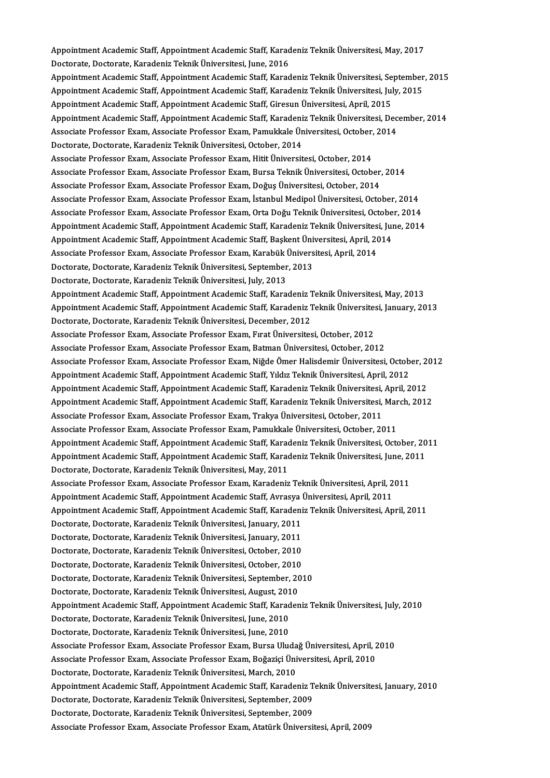Appointment Academic Staff, Appointment Academic Staff, Karadeniz Teknik Üniversitesi, May, 2017<br>Destarata Destarata Karadeniz Telmik Üniversitesi, June, 2016 Appointment Academic Staff, Appointment Academic Staff, Karad<br>Doctorate, Doctorate, Karadeniz Teknik Üniversitesi, June, 2016<br>Anneintment Academie Staff, Anneintment Academie Staff, Karad Appointment Academic Staff, Appointment Academic Staff, Karadeniz Teknik Üniversitesi, May, 2017<br>Doctorate, Doctorate, Karadeniz Teknik Üniversitesi, June, 2016<br>Appointment Academic Staff, Appointment Academic Staff, Karad Doctorate, Doctorate, Karadeniz Teknik Üniversitesi, June, 2016<br>Appointment Academic Staff, Appointment Academic Staff, Karadeniz Teknik Üniversitesi, September<br>Appointment Academic Staff, Appointment Academic Staff, Karad Appointment Academic Staff, Appointment Academic Staff, Karadeniz Teknik Üniversitesi, Se<br>Appointment Academic Staff, Appointment Academic Staff, Karadeniz Teknik Üniversitesi, Jul<br>Appointment Academic Staff, Appointment A Appointment Academic Staff, Appointment Academic Staff, Karadeniz Teknik Üniversitesi, July, 2015<br>Appointment Academic Staff, Appointment Academic Staff, Giresun Üniversitesi, April, 2015<br>Appointment Academic Staff, Appoin Appointment Academic Staff, Appointment Academic Staff, Giresun Üniversitesi, April, 2015<br>Appointment Academic Staff, Appointment Academic Staff, Karadeniz Teknik Üniversitesi, Dec<br>Associate Professor Exam, Associate Profe Appointment Academic Staff, Appointment Academic Staff, Karadeni<br>Associate Professor Exam, Associate Professor Exam, Pamukkale Ün<br>Doctorate, Doctorate, Karadeniz Teknik Üniversitesi, October, 2014<br>Associate Professor Evam, Associate Professor Exam, Associate Professor Exam, Pamukkale Üniversitesi, October,<br>Doctorate, Doctorate, Karadeniz Teknik Üniversitesi, October, 2014<br>Associate Professor Exam, Associate Professor Exam, Hitit Üniversitesi Doctorate, Doctorate, Karadeniz Teknik Üniversitesi, October, 2014<br>Associate Professor Exam, Associate Professor Exam, Hitit Üniversitesi, October, 2014<br>Associate Professor Exam, Associate Professor Exam, Bursa Teknik Üniv Associate Professor Exam, Associate Professor Exam, Hitit Üniversitesi, October, 2014<br>Associate Professor Exam, Associate Professor Exam, Bursa Teknik Üniversitesi, October,<br>Associate Professor Exam, Associate Professor Ex Associate Professor Exam, Associate Professor Exam, Bursa Teknik Üniversitesi, October, 2014<br>Associate Professor Exam, Associate Professor Exam, Doğuş Üniversitesi, October, 2014<br>Associate Professor Exam, Associate Profess Associate Professor Exam, Associate Professor Exam, Doğuş Üniversitesi, October, 2014<br>Associate Professor Exam, Associate Professor Exam, İstanbul Medipol Üniversitesi, October, 2014<br>Associate Professor Exam, Associate Pro Associate Professor Exam, Associate Professor Exam, İstanbul Medipol Üniversitesi, October, 2014<br>Associate Professor Exam, Associate Professor Exam, Orta Doğu Teknik Üniversitesi, October, 2014<br>Appointment Academic Staff, Associate Professor Exam, Associate Professor Exam, Orta Doğu Teknik Üniversitesi, Octobe<br>Appointment Academic Staff, Appointment Academic Staff, Karadeniz Teknik Üniversitesi, Jul<br>Appointment Academic Staff, Appointment A Appointment Academic Staff, Appointment Academic Staff, Karadeniz Teknik Üniversites<br>Appointment Academic Staff, Appointment Academic Staff, Başkent Üniversitesi, April, 20<br>Associate Professor Exam, Associate Professor Exa Appointment Academic Staff, Appointment Academic Staff, Başkent Üniversitesi, April, 2014<br>Associate Professor Exam, Associate Professor Exam, Karabük Üniversitesi, April, 2014<br>Doctorate, Doctorate, Karadeniz Teknik Ünivers Associate Professor Exam, Associate Professor Exam, Karabük Üniversitesi, April, 2014 Doctorate, Doctorate, Karadeniz Teknik Üniversitesi, September, 2013<br>Doctorate, Doctorate, Karadeniz Teknik Üniversitesi, July, 2013<br>Appointment Academic Staff, Appointment Academic Staff, Karadeniz Teknik Üniversitesi, Ma Doctorate, Doctorate, Karadeniz Teknik Üniversitesi, July, 2013<br>Appointment Academic Staff, Appointment Academic Staff, Karadeniz Teknik Üniversitesi, May, 2013<br>Appointment Academic Staff, Appointment Academic Staff, Karad Appointment Academic Staff, Appointment Academic Staff, Karadeniz 1<br>Appointment Academic Staff, Appointment Academic Staff, Karadeniz 1<br>Doctorate, Doctorate, Karadeniz Teknik Üniversitesi, December, 2012<br>Associate Professo Appointment Academic Staff, Appointment Academic Staff, Karadeniz Teknik Üniversitesi, January, 2013<br>Doctorate, Doctorate, Karadeniz Teknik Üniversitesi, December, 2012<br>Associate Professor Exam, Associate Professor Exam, F Associate Professor Exam, Associate Professor Exam, Batman Üniversitesi, October, 2012 Associate Professor Exam, Associate Professor Exam, Fırat Üniversitesi, October, 2012<br>Associate Professor Exam, Associate Professor Exam, Batman Üniversitesi, October, 2012<br>Associate Professor Exam, Associate Professor Exa Associate Professor Exam, Associate Professor Exam, Batman Üniversitesi, October, 2012<br>Associate Professor Exam, Associate Professor Exam, Niğde Ömer Halisdemir Üniversitesi, Octob<br>Appointment Academic Staff, Appointment A Associate Professor Exam, Associate Professor Exam, Niğde Ömer Halisdemir Üniversitesi, October, 20<br>Appointment Academic Staff, Appointment Academic Staff, Yıldız Teknik Üniversitesi, April, 2012<br>Appointment Academic Staff Appointment Academic Staff, Appointment Academic Staff, Yıldız Teknik Üniversitesi, April, 2012<br>Appointment Academic Staff, Appointment Academic Staff, Karadeniz Teknik Üniversitesi, April, 2012<br>Appointment Academic Staff, Appointment Academic Staff, Appointment Academic Staff, Karadeniz Teknik Üniversitesi,<br>Appointment Academic Staff, Appointment Academic Staff, Karadeniz Teknik Üniversitesi,<br>Associate Professor Exam, Associate Professor Ex Appointment Academic Staff, Appointment Academic Staff, Karadeniz Teknik Üniversitesi, March, 2012<br>Associate Professor Exam, Associate Professor Exam, Trakya Üniversitesi, October, 2011<br>Associate Professor Exam, Associate Associate Professor Exam, Associate Professor Exam, Trakya Üniversitesi, October, 2011<br>Associate Professor Exam, Associate Professor Exam, Pamukkale Üniversitesi, October, 2011<br>Appointment Academic Staff, Appointment Acade Associate Professor Exam, Associate Professor Exam, Pamukkale Üniversitesi, October, 2011<br>Appointment Academic Staff, Appointment Academic Staff, Karadeniz Teknik Üniversitesi, October, 20<br>Appointment Academic Staff, Appoi Appointment Academic Staff, Appointment Academic Staff, Karad<br>Appointment Academic Staff, Appointment Academic Staff, Karad<br>Doctorate, Doctorate, Karadeniz Teknik Üniversitesi, May, 2011<br>Assesiste Brafessor Fuam, Assesiste Appointment Academic Staff, Appointment Academic Staff, Karadeniz Teknik Üniversitesi, June, 20<br>Doctorate, Doctorate, Karadeniz Teknik Üniversitesi, May, 2011<br>Associate Professor Exam, Associate Professor Exam, Karadeniz T Doctorate, Doctorate, Karadeniz Teknik Üniversitesi, May, 2011<br>Associate Professor Exam, Associate Professor Exam, Karadeniz Teknik Üniversitesi, April, 2<br>Appointment Academic Staff, Appointment Academic Staff, Avrasya Üni Associate Professor Exam, Associate Professor Exam, Karadeniz Teknik Üniversitesi, April, 2011<br>Appointment Academic Staff, Appointment Academic Staff, Avrasya Üniversitesi, April, 2011<br>Appointment Academic Staff, Appointme Appointment Academic Staff, Appointment Academic Staff, Avrasya Üniversitesi, April, 2011<br>Appointment Academic Staff, Appointment Academic Staff, Karadeniz Teknik Üniversitesi, Ap<br>Doctorate, Doctorate, Karadeniz Teknik Üni Appointment Academic Staff, Appointment Academic Staff, Karadeniz Teknik Üniversitesi, April, 2011 Doctorate, Doctorate, Karadeniz Teknik Üniversitesi, January, 2011<br>Doctorate, Doctorate, Karadeniz Teknik Üniversitesi, January, 2011<br>Doctorate, Doctorate, Karadeniz Teknik Üniversitesi, October, 2010<br>Doctorate, Doctorate, Doctorate, Doctorate, Karadeniz Teknik Üniversitesi, January, 2011<br>Doctorate, Doctorate, Karadeniz Teknik Üniversitesi, October, 2010<br>Doctorate, Doctorate, Karadeniz Teknik Üniversitesi, October, 2010<br>Doctorate, Doctorate, Doctorate, Doctorate, Karadeniz Teknik Üniversitesi, October, 2010<br>Doctorate, Doctorate, Karadeniz Teknik Üniversitesi, October, 2010<br>Doctorate, Doctorate, Karadeniz Teknik Üniversitesi, September, 2010<br>Doctorate, Doctorat Doctorate, Doctorate, Karadeniz Teknik Üniversitesi, October, 2010<br>Doctorate, Doctorate, Karadeniz Teknik Üniversitesi, September, 2010<br>Doctorate, Doctorate, Karadeniz Teknik Üniversitesi, August, 2010 Doctorate, Doctorate, Karadeniz Teknik Üniversitesi, September, 2010<br>Doctorate, Doctorate, Karadeniz Teknik Üniversitesi, August, 2010<br>Appointment Academic Staff, Appointment Academic Staff, Karadeniz Teknik Üniversitesi, Doctorate, Doctorate, Karadeniz Teknik Üniversitesi, August, 201<br>Appointment Academic Staff, Appointment Academic Staff, Karad<br>Doctorate, Doctorate, Karadeniz Teknik Üniversitesi, June, 2010<br>Doctorate, Doctorate, Karadeniz Appointment Academic Staff, Appointment Academic Staff, Karad<br>Doctorate, Doctorate, Karadeniz Teknik Üniversitesi, June, 2010<br>Doctorate, Doctorate, Karadeniz Teknik Üniversitesi, June, 2010<br>Associate Brofossor From, Associ Doctorate, Doctorate, Karadeniz Teknik Üniversitesi, June, 2010<br>Doctorate, Doctorate, Karadeniz Teknik Üniversitesi, June, 2010<br>Associate Professor Exam, Associate Professor Exam, Bursa Uludağ Üniversitesi, April, 2010<br>Ass Doctorate, Doctorate, Karadeniz Teknik Üniversitesi, June, 2010<br>Associate Professor Exam, Associate Professor Exam, Bursa Uludağ Üniversitesi, April, 2<br>Associate Professor Exam, Associate Professor Exam, Boğaziçi Üniversit Associate Professor Exam, Associate Professor Exam, Bursa Uluda<br>Associate Professor Exam, Associate Professor Exam, Boğaziçi Üni<br>Doctorate, Doctorate, Karadeniz Teknik Üniversitesi, March, 2010<br>Anneintment Asademie Steff, Associate Professor Exam, Associate Professor Exam, Boğaziçi Üniversitesi, April, 2010<br>Doctorate, Doctorate, Karadeniz Teknik Üniversitesi, March, 2010<br>Appointment Academic Staff, Appointment Academic Staff, Karadeniz Tekn Doctorate, Doctorate, Karadeniz Teknik Üniversitesi, March, 2010<br>Appointment Academic Staff, Appointment Academic Staff, Karadeniz T<br>Doctorate, Doctorate, Karadeniz Teknik Üniversitesi, September, 2009<br>Doctorate, Doctorate Appointment Academic Staff, Appointment Academic Staff, Karadeniz T<br>Doctorate, Doctorate, Karadeniz Teknik Üniversitesi, September, 2009<br>Doctorate, Doctorate, Karadeniz Teknik Üniversitesi, September, 2009<br>Assesiste Prefes Doctorate, Doctorate, Karadeniz Teknik Üniversitesi, September, 2009<br>Doctorate, Doctorate, Karadeniz Teknik Üniversitesi, September, 2009<br>Associate Professor Exam, Associate Professor Exam, Atatürk Üniversitesi, April, 200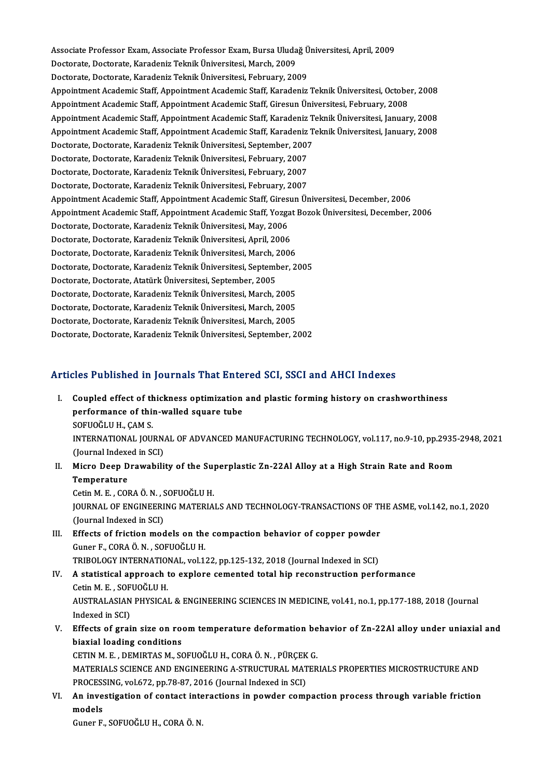Associate Professor Exam, Associate Professor Exam, Bursa Uludağ Üniversitesi, April, 2009<br>Pestarata Destarata Kanadaniz Telmik Üniversitesi Marsh 2009 Associate Professor Exam, Associate Professor Exam, Bursa Uluda<br>Doctorate, Doctorate, Karadeniz Teknik Üniversitesi, March, 2009<br>Doctorate, Doctorate, Karadeniz Telmik Üniversitesi, February, 200 Associate Professor Exam, Associate Professor Exam, Bursa Uludağ Ü<br>Doctorate, Doctorate, Karadeniz Teknik Üniversitesi, March, 2009<br>Doctorate, Doctorate, Karadeniz Teknik Üniversitesi, February, 2009<br>Anneintment Asademie S Doctorate, Doctorate, Karadeniz Teknik Üniversitesi, March, 2009<br>Doctorate, Doctorate, Karadeniz Teknik Üniversitesi, February, 2009<br>Appointment Academic Staff, Appointment Academic Staff, Karadeniz Teknik Üniversitesi, Oc Doctorate, Doctorate, Karadeniz Teknik Üniversitesi, February, 2009<br>Appointment Academic Staff, Appointment Academic Staff, Karadeniz Teknik Üniversitesi, Octobe<br>Appointment Academic Staff, Appointment Academic Staff, Gire Appointment Academic Staff, Appointment Academic Staff, Karadeniz Teknik Üniversitesi, October, 2008<br>Appointment Academic Staff, Appointment Academic Staff, Giresun Üniversitesi, February, 2008<br>Appointment Academic Staff, Appointment Academic Staff, Appointment Academic Staff, Giresun Üniversitesi, February, 2008<br>Appointment Academic Staff, Appointment Academic Staff, Karadeniz Teknik Üniversitesi, January, 2008<br>Appointment Academic Staff, Appointment Academic Staff, Appointment Academic Staff, Karadeniz T<br>Appointment Academic Staff, Appointment Academic Staff, Karadeniz T<br>Doctorate, Doctorate, Karadeniz Teknik Üniversitesi, September, 2007<br>Doctorate, Doctor Appointment Academic Staff, Appointment Academic Staff, Karadeniz<br>Doctorate, Doctorate, Karadeniz Teknik Üniversitesi, September, 2007<br>Doctorate, Doctorate, Karadeniz Teknik Üniversitesi, February, 2007<br>Doctorate, Doctorat Doctorate, Doctorate, Karadeniz Teknik Üniversitesi, September, 2007<br>Doctorate, Doctorate, Karadeniz Teknik Üniversitesi, February, 2007<br>Doctorate, Doctorate, Karadeniz Teknik Üniversitesi, February, 2007<br>Doctorate, Doctor Doctorate, Doctorate, Karadeniz Teknik Üniversitesi, February, 2007<br>Doctorate, Doctorate, Karadeniz Teknik Üniversitesi, February, 2007<br>Doctorate, Doctorate, Karadeniz Teknik Üniversitesi, February, 2007<br>Anneintment Academ Doctorate, Doctorate, Karadeniz Teknik Üniversitesi, February, 2007<br>Appointment Academic Staff, Appointment Academic Staff, Giresun Üniversitesi, December, 2006 Appointment Academic Staff, Appointment Academic Staff, Yozgat Bozok Üniversitesi, December, 2006 Doctorate, Doctorate, Karadeniz Teknik Üniversitesi, May, 2006 Appointment Academic Staff, Appointment Academic Staff, Yozga<br>Doctorate, Doctorate, Karadeniz Teknik Üniversitesi, May, 2006<br>Doctorate, Doctorate, Karadeniz Teknik Üniversitesi, April, 2006<br>Doctorate, Doctorate, Karadeniz Doctorate, Doctorate, Karadeniz Teknik Üniversitesi, May, 2006<br>Doctorate, Doctorate, Karadeniz Teknik Üniversitesi, April, 2006<br>Doctorate, Doctorate, Karadeniz Teknik Üniversitesi, March, 2006<br>Doctorate, Doctorate, Karaden Doctorate, Doctorate, Karadeniz Teknik Üniversitesi, April, 2006<br>Doctorate, Doctorate, Karadeniz Teknik Üniversitesi, March, 2006<br>Doctorate, Doctorate, Karadeniz Teknik Üniversitesi, September, 2005<br>Doctorate, Doctorate, A Doctorate, Doctorate, Karadeniz Teknik Üniversitesi, March, 2<br>Doctorate, Doctorate, Karadeniz Teknik Üniversitesi, September,<br>Doctorate, Doctorate, Atatürk Üniversitesi, September, 2005<br>Doctorate, Doctorate, Karadeniz Telm Doctorate, Doctorate, Karadeniz Teknik Üniversitesi, September, 2<br>Doctorate, Doctorate, Atatürk Üniversitesi, September, 2005<br>Doctorate, Doctorate, Karadeniz Teknik Üniversitesi, March, 2005<br>Doctorate, Doctorate, Karadeniz Doctorate, Doctorate, Atatürk Üniversitesi, September, 2005<br>Doctorate, Doctorate, Karadeniz Teknik Üniversitesi, March, 2005<br>Doctorate, Doctorate, Karadeniz Teknik Üniversitesi, March, 2005<br>Doctorate, Doctorate, Karadeniz Doctorate, Doctorate, Karadeniz Teknik Üniversitesi, March, 2005<br>Doctorate, Doctorate, Karadeniz Teknik Üniversitesi, March, 2005<br>Doctorate, Doctorate, Karadeniz Teknik Üniversitesi, March, 2005<br>Doctorate, Doctorate, Karad Doctorate, Doctorate, Karadeniz Teknik Üniversitesi, March, 2005<br>Doctorate, Doctorate, Karadeniz Teknik Üniversitesi, March, 2005<br>Doctorate, Doctorate, Karadeniz Teknik Üniversitesi, September, 2002

# Doctorate, Doctorate, Karadeniz Teknik Üniversitesi, September, 2002<br>Articles Published in Journals That Entered SCI, SSCI and AHCI Indexes

- rticles Published in Journals That Entered SCI, SSCI and AHCI Indexes<br>I. Coupled effect of thickness optimization and plastic forming history on crashworthiness<br>Performance of thin walled square tube performance in journals that since<br>Coupled effect of thickness optimization<br>performance of thin-walled square tube Coupled effect of the<br>performance of this<br>SOFUOĞLU H., ÇAM S.<br>INTERNATIONAL IOU performance of thin-walled square tube<br>SOFUOĞLU H., ÇAM S.<br>INTERNATIONAL JOURNAL OF ADVANCED MANUFACTURING TECHNOLOGY, vol.117, no.9-10, pp.2935-2948, 2021<br>(Journal Indoved in SCL) SOFUOĞLU H., ÇAM S.<br>INTERNATIONAL JOURN.<br>(Journal Indexed in SCI)<br>Miano Doon Drawobili INTERNATIONAL JOURNAL OF ADVANCED MANUFACTURING TECHNOLOGY, vol.117, no.9-10, pp.2935<br>(Journal Indexed in SCI)<br>II. Micro Deep Drawability of the Superplastic Zn-22Al Alloy at a High Strain Rate and Room<br>Tomporature
- (Journal Indexed in SCI)<br>Micro Deep Drawability of the Su<sub>l</sub><br>Temperature<br>Cetin M. E. . CORA Ö. N. . SOFUOĞLU H. II. Micro Deep Drawability of the Superplastic Zn-22Al Alloy at a High Strain Rate and Room Temperature<br>Cetin M. E. , CORA Ö. N. , SOFUOĞLU H.<br>JOURNAL OF ENGINEERING MATERIALS AND TECHNOLOGY-TRANSACTIONS OF THE ASME, vol.142, no.1, 2020 Cetin M. E. , CORA Ö. N. , S<br>JOURNAL OF ENGINEERI<br>(Journal Indexed in SCI)<br>Effects of fristion mod JOURNAL OF ENGINEERING MATERIALS AND TECHNOLOGY-TRANSACTIONS OF TI<br>(Journal Indexed in SCI)<br>III. Effects of friction models on the compaction behavior of copper powder<br>Cuper E COBA Ö N. SOEUQČLU H
- (Journal Indexed in SCI)<br>Effects of friction models on the<br>Guner F., CORA Ö. N. , SOFUOĞLU H.<br>TRIROLOCY INTERNATIONAL .vol 1 Effects of friction models on the compaction behavior of copper powder<br>Guner F., CORA Ö. N. , SOFUOĞLU H.<br>TRIBOLOGY INTERNATIONAL, vol.122, pp.125-132, 2018 (Journal Indexed in SCI)<br>A statistical annreach to explore coment Guner F., CORA Ö. N. , SOFUOĞLU H.<br>TRIBOLOGY INTERNATIONAL, vol.122, pp.125-132, 2018 (Journal Indexed in SCI)<br>IV. A statistical approach to explore cemented total hip reconstruction performance TRIBOLOGY INTERNATIONAL, vol.122, pp.125-132, 2018 (Journal Indexed in SCI)

## AUSTRALASIAN PHYSICAL & ENGINEERING SCIENCES IN MEDICINE, vol.41, no.1, pp.177-188, 2018 (Journal Indexed in SCI) Cetin M. E., SOFUOĞLU H. AUSTRALASIAN PHYSICAL & ENGINEERING SCIENCES IN MEDICINE, vol.41, no.1, pp.177-188, 2018 (Journal<br>Indexed in SCI)<br>V. Effects of grain size on room temperature deformation behavior of Zn-22Al alloy under uniaxial and<br>hiavia

Indexed in SCI)<br>Effects of grain size on roe<br>biaxial loading conditions<br>CETIN M.E., DEMIPTAS M.SC Effects of grain size on room temperature deformation be<br>biaxial loading conditions<br>CETIN M. E. , DEMIRTAS M., SOFUOĞLU H., CORA Ö. N. , PÜRÇEK G.<br>MATERIAL S SCIENCE AND ENCINEERING A STRUCTURAL MATER biaxial loading conditions<br>CETIN M. E. , DEMIRTAS M., SOFUOĞLU H., CORA Ö. N. , PÜRÇEK G.<br>MATERIALS SCIENCE AND ENGINEERING A-STRUCTURAL MATERIALS PROPERTIES MICROSTRUCTURE AND

CETIN M. E. , DEMIRTAS M., SOFUOĞLU H., CORA Ö. N. , PÜRÇEK<br>MATERIALS SCIENCE AND ENGINEERING A-STRUCTURAL MAT<br>PROCESSING, vol.672, pp.78-87, 2016 (Journal Indexed in SCI)<br>An investigation of sentest interactions in novyla

VI. An investigation of contact interactions in powder compaction process through variable friction PROCESS<br>An inve<br>models<br>Cuner E

Guner F.,SOFUOĞLUH.,CORAÖ.N.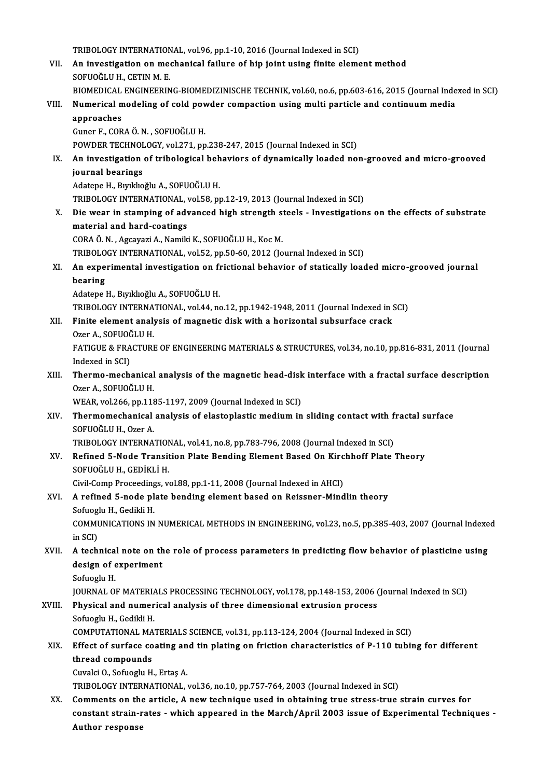TRIBOLOGY INTERNATIONAL, vol.96, pp.1-10, 2016 (Journal Indexed in SCI)<br>An investigation on mochanical foilure of hin joint using finite alame

- VII. An investigation on mechanical failure of hip joint using finite element method SOFUOĞLU H. CETIN M. E. TRIBOLOGY INTERNATION<br>An investigation on meer<br>SOFUOĞLU H., CETIN M. E.<br>BIOMEDICAL ENCINEEPIN An investigation on mechanical failure of hip joint using finite element method<br>SOFUOĞLU H., CETIN M. E.<br>BIOMEDICAL ENGINEERING-BIOMEDIZINISCHE TECHNIK, vol.60, no.6, pp.603-616, 2015 (Journal Indexed in SCI)<br>Numerisel mod
	-
- VIII. Numerical modeling of cold powder compaction using multi particle and continuum media<br>approaches BIOMEDICAL<br>Numerical m<br>approaches<br>Cuper E-COP

Guner F.,CORAÖ.N. ,SOFUOĞLUH.

POWDER TECHNOLOGY, vol.271, pp.238-247, 2015 (Journal Indexed in SCI)

Guner F., CORA Ö. N. , SOFUOĞLU H.<br>POWDER TECHNOLOGY, vol.271, pp.238-247, 2015 (Journal Indexed in SCI)<br>IX. An investigation of tribological behaviors of dynamically loaded non-grooved and micro-grooved<br>iournal bearin POWDER TECHNOI<br>An investigation<br>journal bearings<br>Adatana H. Bunkho An investigation of tribological beh<br>journal bearings<br>Adatepe H., Bıyıklıoğlu A., SOFUOĞLU H.<br>TRIROLOCY INTERNATIONAL .vel 59. pr journal bearings<br>Adatepe H., Bıyıklıoğlu A., SOFUOĞLU H.<br>TRIBOLOGY INTERNATIONAL, vol.58, pp.12-19, 2013 (Journal Indexed in SCI)

X. Die wear in stamping of advanced high strength steels - Investigations on the effects of substrate material and hard-coatings

CORAÖ.N. ,AgcayaziA.,NamikiK.,SOFUOĞLUH.,KocM.

TRIBOLOGY INTERNATIONAL, vol.52, pp.50-60, 2012 (Journal Indexed in SCI)

## CORA Ö. N. , Agcayazi A., Namiki K., SOFUOĞLU H., Koc M.<br>TRIBOLOGY INTERNATIONAL, vol.52, pp.50-60, 2012 (Journal Indexed in SCI)<br>XI. An experimental investigation on frictional behavior of statically loaded micro-groo TRIBOLO<br>An experies<br>bearing bearing<br>Adatepe H., Bıyıklıoğlu A., SOFUOĞLU H. bearing<br>Adatepe H., Bıyıklıoğlu A., SOFUOĞLU H.<br>TRIBOLOGY INTERNATIONAL, vol.44, no.12, pp.1942-1948, 2011 (Journal Indexed in SCI)<br>Finite element analysis of magnetis diek with a bonisantal subsyrfase speck.

TRIBOLOGY INTERNA<br>Finite element analy<br>Ozer A., SOFUOĞLU H.<br>EATICUE & ERACTURI

Adatepe H., Bıyıklıoğlu A., SOFUOĞLU H.<br>TRIBOLOGY INTERNATIONAL, vol.44, no.12, pp.1942-1948, 2011 (Journal Indexed in !<br>XII. Finite element analysis of magnetic disk with a horizontal subsurface crack<br>OFOR A. SOEUOČLU H

Finite element analysis of magnetic disk with a horizontal subsurface crack<br>Ozer A., SOFUOĞLU H.<br>FATIGUE & FRACTURE OF ENGINEERING MATERIALS & STRUCTURES, vol.34, no.10, pp.816-831, 2011 (Journal<br>Indeved in SCD. Ozer A., SOFUOČ<br>FATIGUE & FRA<br>Indexed in SCI)<br>Therme mech FATIGUE & FRACTURE OF ENGINEERING MATERIALS & STRUCTURES, vol.34, no.10, pp.816-831, 2011 (Journal<br>Indexed in SCI)<br>XIII. Thermo-mechanical analysis of the magnetic head-disk interface with a fractal surface description<br>Org

Indexed in SCI)<br><mark>Thermo-mechanical</mark><br>Ozer A., SOFUOĞLU H.<br>WEAR. vol 266. nn 119 Thermo-mechanical analysis of the magnetic head-disk<br>Ozer A., SOFUOĞLU H.<br>WEAR, vol.266, pp.1185-1197, 2009 (Journal Indexed in SCI)<br>Thermomechanical analysis of elastenlastic medium in

## Ozer A., SOFUOĞLU H.<br>WEAR, vol.266, pp.1185-1197, 2009 (Journal Indexed in SCI)<br>XIV. Thermomechanical analysis of elastoplastic medium in sliding contact with fractal surface<br>SOEUOŠLU H. Ozer A WEAR, vol.266, pp.1185-1197, 2009 (Journal Indexed in SCI)<br>Thermomechanical analysis of elastoplastic medium in<br>SOFUOĞLU H., Ozer A. Thermomechanical analysis of elastoplastic medium in sliding contact with f<br>SOFUOĞLU H., Ozer A.<br>TRIBOLOGY INTERNATIONAL, vol.41, no.8, pp.783-796, 2008 (Journal Indexed in SCI)<br>Befined 5 Node Transition Plate Bending Elem

TRIBOLOGY INTERNATIONAL, vol.41, no.8, pp.783-796, 2008 (Journal Indexed in SCI)

XV. Refined 5-Node Transition Plate Bending Element Based On Kirchhoff Plate Theory Refined 5-Node Transition Plate Bending Element Based On Kirc<br>SOFUOĞLU H., GEDİKLİ H.<br>Civil-Comp Proceedings, vol.88, pp.1-11, 2008 (Journal Indexed in AHCI)<br>A rafinad 5 node plate bending element based en Beissner Mind

### XVI. A refined 5-node plate bending element based on Reissner-Mindlin theory Civil-Comp Proceeding<br>A refined 5-node pl<br>Sofuoglu H., Gedikli H.<br>COMMUNICATIONS IN A refined 5-node plate bending element based on Reissner-Mindlin theory<br>Sofuoglu H., Gedikli H.<br>COMMUNICATIONS IN NUMERICAL METHODS IN ENGINEERING, vol.23, no.5, pp.385-403, 2007 (Journal Indexed<br>in SCD Sofuogl<br>COMM<br>in SCI)<br>A tosh

COMMUNICATIONS IN NUMERICAL METHODS IN ENGINEERING, vol.23, no.5, pp.385-403, 2007 (Journal Indexe<br>in SCI)<br>XVII. A technical note on the role of process parameters in predicting flow behavior of plasticine using<br>design of

## in SCI)<br>A technical note on th<br>design of experiment<br>Sefueslu H **A technica<br>design of e<br>Sofuoglu H.<br>JOUPNAL O** design of experiment<br>Sofuoglu H.<br>JOURNAL OF MATERIALS PROCESSING TECHNOLOGY, vol.178, pp.148-153, 2006 (Journal Indexed in SCI)<br>Physical and numerisal analysis of three dimensional extrusion process.

## Sofuoglu H.<br>JOURNAL OF MATERIALS PROCESSING TECHNOLOGY, vol.178, pp.148-153, 2006 (<br>XVIII. Physical and numerical analysis of three dimensional extrusion process<br>Sofuoglu H., Gedikli H. **JOURNAL OF MATERIA<br>Physical and numer<br>Sofuoglu H., Gedikli H.**<br>COMBUTATIONAL MAY Physical and numerical analysis of three dimensional extrusion process<br>Sofuoglu H., Gedikli H.<br>COMPUTATIONAL MATERIALS SCIENCE, vol.31, pp.113-124, 2004 (Journal Indexed in SCI)<br>Effect of surface coating and tin plating on

### Sofuoglu H., Gedikli H.<br>COMPUTATIONAL MATERIALS SCIENCE, vol.31, pp.113-124, 2004 (Journal Indexed in SCI)<br>XIX. Effect of surface coating and tin plating on friction characteristics of P-110 tubing for different<br>thread sem COMPUTATIONAL MA<br>Effect of surface co<br>thread compounds<br>Cuvaki O. Sefuselu H Effect of surface coating an<br>thread compounds<br>Cuvalci O., Sofuoglu H., Ertaş A.<br>TRIBOLOCY INTERNATIONAL thread compounds<br>Cuvalci O., Sofuoglu H., Ertaş A.<br>TRIBOLOGY INTERNATIONAL, vol.36, no.10, pp.757-764, 2003 (Journal Indexed in SCI)

XX. Comments on the article, A new technique used in obtaining true stress-true strain curves for TRIBOLOGY INTERNATIONAL, vol.36, no.10, pp.757-764, 2003 (Journal Indexed in SCI)<br>Comments on the article, A new technique used in obtaining true stress-true strain curves for<br>constant strain-rates - which appeared in the Comments on the<br>constant strain-r<br>Author response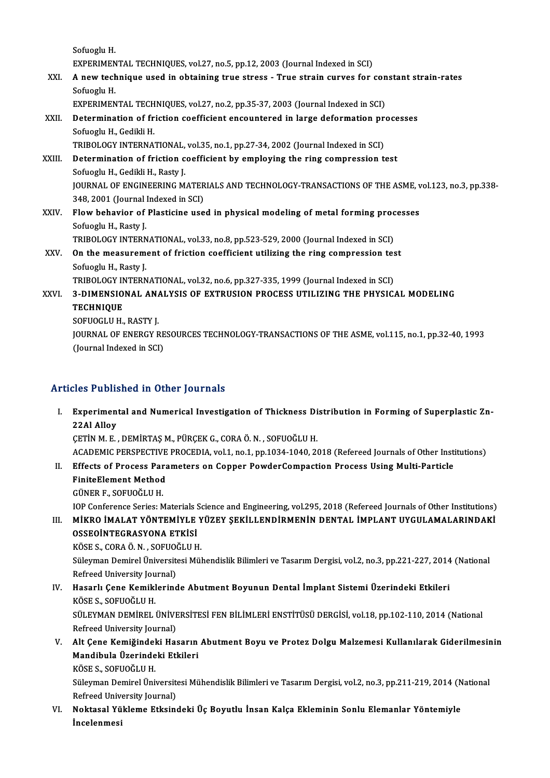SofuogluH. Sofuoglu H.<br>EXPERIMENTAL TECHNIQUES, vol.27, no.5, pp.12, 2003 (Journal Indexed in SCI)<br>A new technique used in obtaining true stress . True strain surves for Sofuoglu H.<br>EXPERIMENTAL TECHNIQUES, vol.27, no.5, pp.12, 2003 (Journal Indexed in SCI)<br>XXI. A new technique used in obtaining true stress - True strain curves for constant strain-rates<br>Sefuogly H EXPERIMEN<br>**A new tech**<br>Sofuoglu H.<br>EXPERIMEN A new technique used in obtaining true stress - True strain curves for con<br>Sofuoglu H.<br>EXPERIMENTAL TECHNIQUES, vol.27, no.2, pp.35-37, 2003 (Journal Indexed in SCI)<br>Determination of friction coofficient encountered in lar Sofuoglu H.<br>EXPERIMENTAL TECHNIQUES, vol.27, no.2, pp.35-37, 2003 (Journal Indexed in SCI)<br>XXII. Determination of friction coefficient encountered in large deformation processes<br>Sofuogly H. Codikli H. EXPERIMENTAL TECHNIQUES, vol.27, no.2, pp.35-37, 2003 (Journal Indexed in SCI)<br>Determination of friction coefficient encountered in large deformation pr<br>Sofuoglu H., Gedikli H.<br>TRIBOLOGY INTERNATIONAL, vol.35, no.1, pp.27-Determination of friction coefficient encountered in large deformation produced in School H., Gedikli H.<br>TRIBOLOGY INTERNATIONAL, vol.35, no.1, pp.27-34, 2002 (Journal Indexed in SCI)<br>Determination of friction coefficient Sofuoglu H., Gedikli H.<br>TRIBOLOGY INTERNATIONAL, vol.35, no.1, pp.27-34, 2002 (Journal Indexed in SCI)<br>XXIII. Determination of friction coefficient by employing the ring compression test<br>Sofuogly H. Codikli H. Bosty J. TRIBOLOGY INTERNATIONAL,<br>Determination of friction c<br>Sofuoglu H., Gedikli H., Rasty J.<br>JOUPNAL OF ENCINEERING M Determination of friction coefficient by employing the ring compression test<br>Sofuoglu H., Gedikli H., Rasty J.<br>JOURNAL OF ENGINEERING MATERIALS AND TECHNOLOGY-TRANSACTIONS OF THE ASME, vol.123, no.3, pp.338-<br>248-2001 (Jour Sofuoglu H., Gedikli H., Rasty J.<br>JOURNAL OF ENGINEERING MATER<br>348, 2001 (Journal Indexed in SCI)<br>Flow behavior of Blastising use JOURNAL OF ENGINEERING MATERIALS AND TECHNOLOGY-TRANSACTIONS OF THE ASME, v<br>348, 2001 (Journal Indexed in SCI)<br>XXIV. Flow behavior of Plasticine used in physical modeling of metal forming processes 348, 2001 (Journal)<br>Flow behavior of<br>Sofuoglu H., Rasty J.<br>TRIBOLOCY INTERN Flow behavior of Plasticine used in physical modeling of metal forming proc<br>Sofuoglu H., Rasty J.<br>TRIBOLOGY INTERNATIONAL, vol.33, no.8, pp.523-529, 2000 (Journal Indexed in SCI)<br>On the measurement of frigtion seefficient Sofuoglu H., Rasty J.<br>TRIBOLOGY INTERNATIONAL, vol.33, no.8, pp.523-529, 2000 (Journal Indexed in SCI)<br>XXV. On the measurement of friction coefficient utilizing the ring compression test<br>Sofuacly H. Basty J. TRIBOLOGY INTERNATIONAL, vol.33, no.8, pp.523-529, 2000 (Journal Indexed in SCI)<br>On the measurement of friction coefficient utilizing the ring compression te:<br>Sofuoglu H., Rasty J.<br>TRIBOLOGY INTERNATIONAL, vol.32, no.6, pp On the measurement of friction coefficient utilizing the ring compression tes<br>Sofuoglu H., Rasty J.<br>TRIBOLOGY INTERNATIONAL, vol.32, no.6, pp.327-335, 1999 (Journal Indexed in SCI)<br>2. DIMENSIONAL, ANALYSIS OF EXTRUSION PRO Sofuoglu H., Rasty J.<br>TRIBOLOGY INTERNATIONAL, vol.32, no.6, pp.327-335, 1999 (Journal Indexed in SCI)<br>XXVI. 3-DIMENSIONAL ANALYSIS OF EXTRUSION PROCESS UTILIZING THE PHYSICAL MODELING<br>TECHNIQUE TECHNIQUE<br>SOFUOGLU H., RASTY J. 3-DIMENSIONAL ANA<br>TECHNIQUE<br>SOFUOGLU H., RASTY J.<br>JOUPNAL OF ENERCY R TECHNIQUE<br>SOFUOGLU H., RASTY J.<br>JOURNAL OF ENERGY RESOURCES TECHNOLOGY-TRANSACTIONS OF THE ASME, vol.115, no.1, pp.32-40, 1993<br>(Journal Indoxed in SCL) SOFUOGLU H., RASTY J.<br>JOURNAL OF ENERGY RE<br>(Journal Indexed in SCI)

# Articles Published in Other Journals

rticles Published in Other Journals<br>I. Experimental and Numerical Investigation of Thickness Distribution in Forming of Superplastic Zn-<br>22.04.0 lloy Experiment<br>22Al Alloy<br>CETIM M.E 22AI Alloy<br>ÇETİN M. E. , DEMİRTAŞ M., PÜRÇEK G., CORA Ö. N. , SOFUOĞLU H. ACADEMIC PERSPECTIVE PROCEDIA, vol.1, no.1, pp.1034-1040, 2018 (Refereed Journals of Other Institutions) CETIN M. E. , DEMIRTAS M., PÜRCEK G., CORA Ö. N. , SOFUOĞLU H.<br>ACADEMIC PERSPECTIVE PROCEDIA, vol.1, no.1, pp.1034-1040, 2018 (Refereed Journals of Other Insti<br>II. Effects of Process Parameters on Copper PowderCompaction P ACADEMIC PERSPECTIVE<br>Effects of Process Para<br>FiniteElement Method Effects of Process Par<br>FiniteElement Method<br>GÜNER F., SOFUOĞLU H.<br>JOB Conference Serice: M FiniteElement Method<br>GÜNER F., SOFUOĞLU H.<br>IOP Conference Series: Materials Science and Engineering, vol.295, 2018 (Refereed Journals of Other Institutions)<br>Mikro IMALAT YÖNTEMİYLE YÜZEY SEKİLLENDİRMENİN DENTAL İMPLANT UYG

GÜNER F., SOFUOĞLU H.<br>IOP Conference Series: Materials Science and Engineering, vol.295, 2018 (Refereed Journals of Other Institutions)<br>III. MİKRO İMALAT YÖNTEMİYLE YÜZEY ŞEKİLLENDİRMENİN DENTAL İMPLANT UYGULAMALARINDA **IOP Conference Series: Materials S<br>MİKRO İMALAT YÖNTEMİYLE<br>OSSEOİNTEGRASYONA ETKİSİ**<br>KÖSE S. CORA Ö. N. SOEUQČI ILH MİKRO İMALAT YÖNTEMİYLE Y<br>OSSEOİNTEGRASYONA ETKİSİ<br>KÖSE S., CORA Ö. N. , SOFUOĞLU H.<br>Sülayman Demirel Üniversitesi Mül

OSSEOİNTEGRASYONA ETKİSİ<br>KÖSE S., CORA Ö. N. , SOFUOĞLU H.<br>Süleyman Demirel Üniversitesi Mühendislik Bilimleri ve Tasarım Dergisi, vol.2, no.3, pp.221-227, 2014 (National<br>Refreed University Journal) KÖSE S., CORA Ö. N. , SOFUO)<br>Süleyman Demirel Üniversit<br>Refreed University Journal)<br>Hasarlı Cana Kamiklarınd Süleyman Demirel Üniversitesi Mühendislik Bilimleri ve Tasarım Dergisi, vol.2, no.3, pp.221-227, 2014<br>Refreed University Journal)<br>IV. Hasarlı Çene Kemiklerinde Abutment Boyunun Dental İmplant Sistemi Üzerindeki Etkileri<br>KÖ

- Refreed University Journal)<br>IV. Hasarlı Çene Kemiklerinde Abutment Boyunun Dental İmplant Sistemi Üzerindeki Etkileri<br>KÖSE S., SOFUOĞLU H. Hasarlı Çene Kemiklerinde Abutment Boyunun Dental İmplant Sistemi Üzerindeki Etkileri<br>KÖSE S., SOFUOĞLU H.<br>SÜLEYMAN DEMİREL ÜNİVERSİTESİ FEN BİLİMLERİ ENSTİTÜSÜ DERGİSİ, vol.18, pp.102-110, 2014 (National<br>Refreed Universit KÖSE S., SOFUOĞLU H.<br>SÜLEYMAN DEMİREL ÜNİVE<br>Refreed University Journal)<br>Alt Cone Komiğindeki Hes SÜLEYMAN DEMİREL ÜNİVERSİTESİ FEN BİLİMLERİ ENSTİTÜSÜ DERGİSİ, vol.18, pp.102-110, 2014 (National<br>Refreed University Journal)<br>V. Alt Çene Kemiğindeki Hasarın Abutment Boyu ve Protez Dolgu Malzemesi Kullanılarak Gideril
- Refreed University Journal)<br>Alt Çene Kemiğindeki Hasarın<br>Mandibula Üzerindeki Etkileri<br>Köses soeuoğlulu Alt Çene Kemiğindel<br>Mandibula Üzerinde<br>KÖSE S., SOFUOĞLU H.<br>Süleyman Demirel Üni

Mandibula Üzerindeki Etkileri<br>KÖSE S., SOFUOĞLU H.<br>Süleyman Demirel Üniversitesi Mühendislik Bilimleri ve Tasarım Dergisi, vol.2, no.3, pp.211-219, 2014 (National KÖSE S., SOFUOĞLU H.<br>Süleyman Demirel Üniversit<br>Refreed University Journal)<br>Noktaaal Vültlama Etkeine Süleyman Demirel Üniversitesi Mühendislik Bilimleri ve Tasarım Dergisi, vol.2, no.3, pp.211-219, 2014 (N<br>Refreed University Journal)<br>VI. Noktasal Yükleme Etksindeki Üç Boyutlu İnsan Kalça Ekleminin Sonlu Elemanlar Yöntemiy

Refreed Univ<br><mark>Noktasal Yü</mark><br>İncelenmesi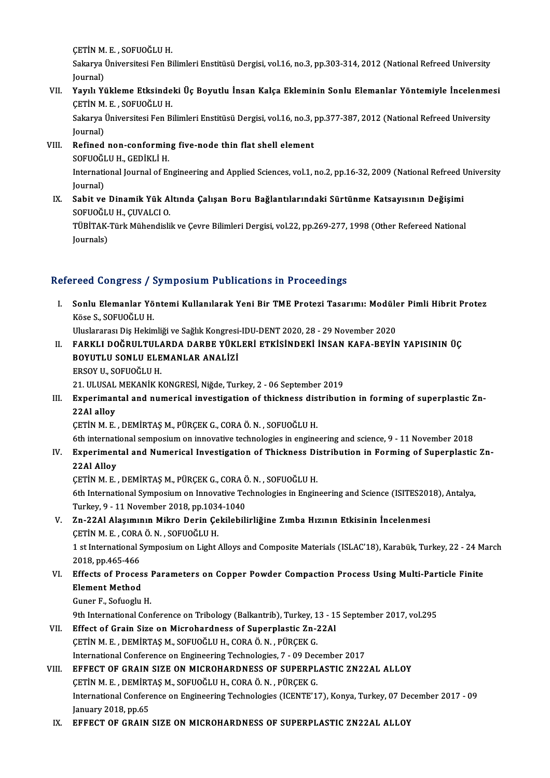ÇETİNM.E. ,SOFUOĞLUH.

ÇETİN M. E. , SOFUOĞLU H.<br>Sakarya Üniversitesi Fen Bilimleri Enstitüsü Dergisi, vol.16, no.3, pp.303-314, 2012 (National Refreed University<br>Journal) ÇETİN M.<br>Sakarya I<br>Journal)<br>Yamlı Yi Sakarya Üniversitesi Fen Bilimleri Enstitüsü Dergisi, vol.16, no.3, pp.303-314, 2012 (National Refreed University<br>Journal)<br>VII. Yayılı Yükleme Etksindeki Üç Boyutlu İnsan Kalça Ekleminin Sonlu Elemanlar Yöntemiyle İnce

## Journal)<br>Yayılı Yükleme Etksinde<br>ÇETİN M. E. , SOFUOĞLU H.<br>Sakarın Üniversitesi Fen Bi Yayılı Yükleme Etksindeki Üç Boyutlu İnsan Kalça Ekleminin Sonlu Elemanlar Yöntemiyle İncelenme<br>ÇETİN M. E. , SOFUOĞLU H.<br>Sakarya Üniversitesi Fen Bilimleri Enstitüsü Dergisi, vol.16, no.3, pp.377-387, 2012 (National Refre

ÇETİN M. E. , SOFUOĞLU H.<br>Sakarya Üniversitesi Fen Bilimleri Enstitüsü Dergisi, vol.16, no.3, pp.377-387, 2012 (National Refreed University<br>Journal) Sakarya Üniversitesi Fen Bilimleri Enstitüsü Dergisi, vol.16, no.3, |<br>Journal)<br>VIII. Refined non-conforming five-node thin flat shell element<br>SOEUOČI II.H. CEDİKLİ H

- Journal)<br><mark>Refined non-conformin</mark><br>SOFUOĞLU H., GEDİKLİ H.<br>International Journal of Er Refined non-conforming five-node thin flat shell element<br>SOFUOĞLU H., GEDİKLİ H.<br>International Journal of Engineering and Applied Sciences, vol.1, no.2, pp.16-32, 2009 (National Refreed University<br>Journal) SOFUOĞI<br>Internati<br>Journal)<br>Sobit ve
- International Journal of Engineering and Applied Sciences, vol.1, no.2, pp.16-32, 2009 (National Refreed I<br>Journal)<br>IX. Sabit ve Dinamik Yük Altında Çalışan Boru Bağlantılarındaki Sürtünme Katsayısının Değişimi<br>SOEUQČI II Journal)<br>IX. Sabit ve Dinamik Yük Altında Çalışan Boru Bağlantılarındaki Sürtünme Katsayısının Değişimi<br>SOFUOĞLU H., ÇUVALCI O. Sabit ve Dinamik Yük Altında Çalışan Boru Bağlantılarındaki Sürtünme Katsayısının Değişimi<br>SOFUOĞLU H., ÇUVALCI O.<br>TÜBİTAK-Türk Mühendislik ve Çevre Bilimleri Dergisi, vol.22, pp.269-277, 1998 (Other Refereed National<br>Jour

SOFUOĞL<br>TÜBİTAK-<br>Journals)

# Journals)<br>Refereed Congress / Symposium Publications in Proceedings

efereed Congress / Symposium Publications in Proceedings<br>I. Sonlu Elemanlar Yöntemi Kullanılarak Yeni Bir TME Protezi Tasarımı: Modüler Pimli Hibrit Protez<br>Köse S. SOFUQČULH 1994 Songress<br>Sonlu Elemanlar Yö<br>Köse S., SOFUOĞLU H.<br>Hluclarares: Dis Heltin Sonlu Elemanlar Yöntemi Kullanılarak Yeni Bir TME Protezi Tasarımı: Modüle<br>Köse S., SOFUOĞLU H.<br>Uluslararası Diş Hekimliği ve Sağlık Kongresi-IDU-DENT 2020, 28 - 29 November 2020<br>FARKLI DOĞRULTILLARDA DARRE YÜKLERİ ETKİSİN

Köse S., SOFUOĞLU H.<br>Uluslararası Diş Hekimliği ve Sağlık Kongresi-IDU-DENT 2020, 28 - 29 November 2020<br>II. FARKLI DOĞRULTULARDA DARBE YÜKLERİ ETKİSİNDEKİ İNSAN KAFA-BEYİN YAPISININ ÜÇ<br>ROYUTU U SONU U ELEMANLAR ANALİZİ Uluslararası Diş Hekimliği ve Sağlık Kongresi<br>FARKLI DOĞRULTULARDA DARBE YÜKI<br>BOYUTLU SONLU ELEMANLAR ANALİZİ<br>EPSOV U. SOEUQĞULU FARKLI DOĞRULTUL*I*<br>BOYUTLU SONLU ELE<br>ERSOY U., SOFUOĞLU H.<br>21. III USAL MEKANİK K BOYUTLU SONLU ELEMANLAR ANALİZİ<br>ERSOY U., SOFUOĞLU H.<br>21. ULUSAL MEKANİK KONGRESİ, Niğde, Turkey, 2 - 06 September 2019<br>Evnonimantal and numanisal investisation of thiskness distributi

## ERSOY U., SOFUOĞLU H.<br>21. ULUSAL MEKANİK KONGRESİ, Niğde, Turkey, 2 - 06 September 2019<br>III. Experimantal and numerical investigation of thickness distribution in forming of superplastic Zn-<br>22Al allay 21. ULUSAL<br>Experiman<br>22Al alloy<br>CETIN M.E Experimantal and numerical investigation of thickness dis<br>22Al alloy<br>ÇETİN M. E. , DEMİRTAŞ M., PÜRÇEK G., CORA Ö. N. , SOFUOĞLU H.<br>6th international semnesium en inneyatiye technologies in engine 22Al alloy<br>ÇETİN M. E. , DEMİRTAŞ M., PÜRÇEK G., CORA Ö. N. , SOFUOĞLU H.<br>6th international semposium on innovative technologies in engineering and science, 9 - 11 November 2018<br>Eunonimental and Numenical Investigation of

## CETIN M. E. , DEMIRTAŞ M., PÜRÇEK G., CORA Ö. N. , SOFUOĞLU H.<br>6th international semposium on innovative technologies in engineering and science, 9 - 11 November 2018<br>IV. Experimental and Numerical Investigation of Thickne 6th internati<br>Experimen<br>22Al Alloy<br>CETIN M.E Experimental and Numerical Investigation of Thickness Di<br>22Al Alloy<br>ÇETİN M. E. , DEMİRTAŞ M., PÜRÇEK G., CORA Ö. N. , SOFUOĞLU H.<br>6th International Sumposium on Innevative Technologies in Engin

6th International Symposium on Innovative Technologies in Engineering and Science (ISITES2018), Antalya, CETIN M. E. , DEMIRTAŞ M., PÜRÇEK G., CORA C<br>6th International Symposium on Innovative Te<br>Turkey, 9 - 11 November 2018, pp.1034-1040<br>7n 2241 Alesumunn Milre, Denin Geltilebili Turkey, 9 - 11 November 2018, pp.1034-1040

## V. Zn-22Al Alaşımının Mikro Derin Çekilebilirliğine Zımba Hızının Etkisinin İncelenmesi<br>ÇETİN M. E., CORA Ö. N., SOFUOĞLU H.

1 st International Symposium on Light Alloys and Composite Materials (ISLAC'18), Karabük, Turkey, 22 - 24 March CETIN M. E., CORA<br>1 st International S<br>2018, pp.465-466<br>Effects of Brosse 1 st International Symposium on Light Alloys and Composite Materials (ISLAC'18), Karabük, Turkey, 22 - 24 M.<br>2018, pp.465-466<br>VI. Effects of Process Parameters on Copper Powder Compaction Process Using Multi-Particle Finit

## 2018, pp.465-466<br>Effects of Proces<br>Element Method Effects of Process<br>Element Method<br>Guner F., Sofuoglu H.<br><sup>Oth International Con</sup> Element Method<br>Guner F., Sofuoglu H.<br>9th International Conference on Tribology (Balkantrib), Turkey, 13 - 15 September 2017, vol.295<br>Effect of Crein Sige on Microbardness of Superplestic 7n 22Al

Guner F., Sofuoglu H.<br>9th International Conference on Tribology (Balkantrib), Turkey, 13 - 1!<br>VII. Effect of Grain Size on Microhardness of Superplastic Zn-22Al<br>CETIN M.E. DEMIPTAS M. SOFUOČLU H. CORA Ö.N. DÜRCEK C 9th International Conference on Tribology (Balkantrib), Turkey, 1<br>Effect of Grain Size on Microhardness of Superplastic Zn-3<br>ÇETİN M. E. , DEMİRTAŞ M., SOFUOĞLU H., CORA Ö. N. , PÜRÇEK G.<br>International Conference on Engine Effect of Grain Size on Microhardness of Superplastic Zn-22Al<br>CETIN M. E., DEMIRTAŞ M., SOFUOĞLU H., CORA Ö. N., PÜRÇEK G.<br>International Conference on Engineering Technologies, 7 - 09 December 2017

### VIII. EFFECT OF GRAIN SIZE ON MICROHARDNESS OF SUPERPLASTIC ZN22AL ALLOY International Conference on Engineering Technologies, 7 - 09 Dec<br>EFFECT OF GRAIN SIZE ON MICROHARDNESS OF SUPERPL<br>ÇETİN M. E. , DEMİRTAŞ M., SOFUOĞLU H., CORA Ö. N. , PÜRÇEK G.<br>International Conference on Engineering Techn EFFECT OF GRAIN SIZE ON MICROHARDNESS OF SUPERPLASTIC ZN22AL ALLOY<br>ÇETİN M. E. , DEMİRTAŞ M., SOFUOĞLU H., CORA Ö. N. , PÜRÇEK G.<br>International Conference on Engineering Technologies (ICENTE'17), Konya, Turkey, 07 December **CETIN M. E. , DEMIRT<br>International Confere<br>January 2018, pp.65<br>EEEECT OF CRAIN** International Conference on Engineering Technologies (ICENTE'17), Konya, Turkey, 07 De<br>January 2018, pp.65<br>IX. EFFECT OF GRAIN SIZE ON MICROHARDNESS OF SUPERPLASTIC ZN22AL ALLOY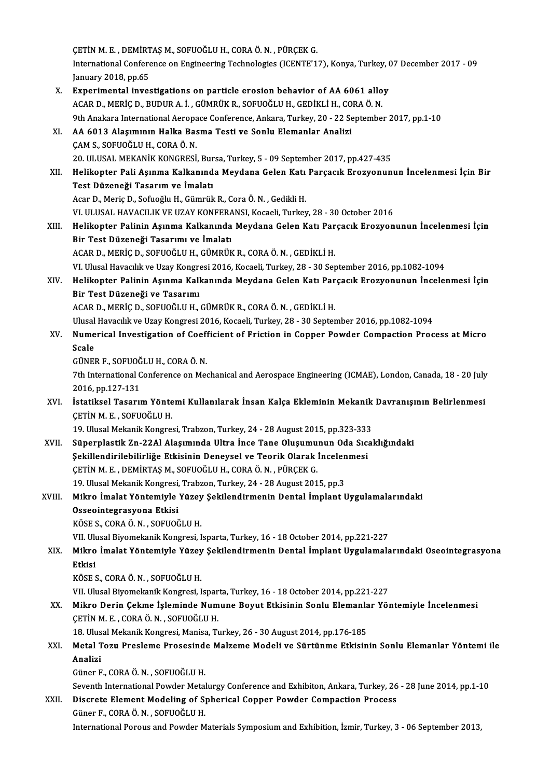ÇETİNM.E. ,DEMİRTAŞM.,SOFUOĞLUH.,CORAÖ.N. ,PÜRÇEKG. ÇETİN M. E. , DEMİRTAŞ M., SOFUOĞLU H., CORA Ö. N. , PÜRÇEK G.<br>International Conference on Engineering Technologies (ICENTE'17), Konya, Turkey, 07 December 2017 - 09<br>January 2018, np.65 CETIN M. E. , DEMIRT<br>International Confere<br>January 2018, pp.65<br>Eunorimentel invec International Conference on Engineering Technologies (ICENTE'17), Konya, Turkey, (<br>January 2018, pp.65<br>X. Experimental investigations on particle erosion behavior of AA 6061 alloy<br>ACAR D. MERIC D. BUDUR A J. CÜMBÜK B. SOEU January 2018, pp.65<br>Experimental investigations on particle erosion behavior of AA 6061 allo<br>ACAR D., MERİÇ D., BUDUR A. İ. , GÜMRÜK R., SOFUOĞLU H., GEDİKLİ H., CORA Ö. N.<br>9th Anakara International Aeronase Conferense Ank ACAR D., MERİÇ D., BUDUR A. İ. , GÜMRÜK R., SOFUOĞLU H., GEDİKLİ H., CORA Ö. N.<br>9th Anakara International Aeropace Conference, Ankara, Turkey, 20 - 22 September 2017, pp.1-10 ACAR D., MERİÇ D., BUDUR A. İ., GÜMRÜK R., SOFUOĞLU H., GEDİKLİ H., CO<br>9th Anakara International Aeropace Conference, Ankara, Turkey, 20 - 22 Se<br>XI. AA 6013 Alaşımının Halka Basma Testi ve Sonlu Elemanlar Analizi<br>CAM S. SO 9th Anakara International Aeropa<br>AA 6013 Alaşımının Halka Bas<br>ÇAM S., SOFUOĞLU H., CORA Ö. N.<br>20 ULUSAL MEKANİK KONCBESİ AA 6013 Alaşımının Halka Basma Testi ve Sonlu Elemanlar Analizi<br>ÇAM S., SOFUOĞLU H., CORA Ö. N.<br>20. ULUSAL MEKANİK KONGRESİ, Bursa, Turkey, 5 - 09 September 2017, pp.427-435<br>Halikantar Pali Asınma Kalkanında Maydana Calan ÇAM S., SOFUOĞLU H., CORA Ö. N.<br>20. ULUSAL MEKANİK KONGRESİ, Bursa, Turkey, 5 - 09 September 2017, pp.427-435<br>XII. Helikopter Pali Aşınma Kalkanında Meydana Gelen Katı Parçacık Erozyonunun İncelenmesi İçin Bir<br>Test Dür 20. ULUSAL MEKANİK KONGRESİ, Bur<br>Helikopter Pali Aşınma Kalkanınd<br>Test Düzeneği Tasarım ve İmalatı<br>Acar D. Maria D. Sofuağlu H. Gümrük Helikopter Pali Aşınma Kalkanında Meydana Gelen Katı<br>Test Düzeneği Tasarım ve İmalatı<br>Acar D., Meriç D., Sofuoğlu H., Gümrük R., Cora Ö. N. , Gedikli H.<br>VL III USAL HAVACU IK VE UZAY KONEERANSL Kosseli Turker Test Düzeneği Tasarım ve İmalatı<br>Acar D., Meriç D., Sofuoğlu H., Gümrük R., Cora Ö. N. , Gedikli H.<br>VI. ULUSAL HAVACILIK VE UZAY KONFERANSI, Kocaeli, Turkey, 28 - 30 October 2016 Acar D., Meriç D., Sofuoğlu H., Gümrük R., Cora Ö. N. , Gedikli H.<br>VI. ULUSAL HAVACILIK VE UZAY KONFERANSI, Kocaeli, Turkey, 28 - 30 October 2016<br>XIII. Helikopter Palinin Aşınma Kalkanında Meydana Gelen Katı Parçacık E VI. ULUSAL HAVACILIK VE UZAY KONFERA<br>Helikopter Palinin Aşınma Kalkanında<br>Bir Test Düzeneği Tasarımı ve İmalatı<br>ACAR D. MERİC D. SOEUQČLU H. CÜMBÜR Helikopter Palinin Aşınma Kalkanında Meydana Gelen Katı Par<br>Bir Test Düzeneği Tasarımı ve İmalatı<br>ACAR D., MERİÇ D., SOFUOĞLU H., GÜMRÜK R., CORA Ö. N. , GEDİKLİ H.<br>VI Ulusal Havasılık ve Uzav Kansresi 2016 Kasasli Turkav Bir Test Düzeneği Tasarımı ve İmalatı<br>ACAR D., MERİÇ D., SOFUOĞLU H., GÜMRÜK R., CORA Ö. N. , GEDİKLİ H.<br>VI. Ulusal Havacılık ve Uzay Kongresi 2016, Kocaeli, Turkey, 28 - 30 September 2016, pp.1082-1094 ACAR D., MERİÇ D., SOFUOĞLU H., GÜMRÜK R., CORA Ö. N. , GEDİKLİ H.<br>VI. Ulusal Havacılık ve Uzay Kongresi 2016, Kocaeli, Turkey, 28 - 30 September 2016, pp.1082-1094<br>XIV. Helikopter Palinin Aşınma Kalkanında Meydana Gel VI. Ulusal Havacılık ve Uzay Kongre<br>Helikopter Palinin Aşınma Kall<br>Bir Test Düzeneği ve Tasarımı<br>ACAR D. MERİC D. SOEUQČI II H Helikopter Palinin Aşınma Kalkanında Meydana Gelen Katı Par<br>Bir Test Düzeneği ve Tasarımı<br>ACAR D., MERİÇ D., SOFUOĞLU H., GÜMRÜK R., CORA Ö. N. , GEDİKLİ H.<br>Ulusal Havasılık ve Uzay Kanstası 2016, Kasasli Turkay 29, 20 San Bir Test Düzeneği ve Tasarımı<br>ACAR D., MERİÇ D., SOFUOĞLU H., GÜMRÜK R., CORA Ö. N. , GEDİKLİ H.<br>Ulusal Havacılık ve Uzay Kongresi 2016, Kocaeli, Turkey, 28 - 30 September 2016, pp.1082-1094<br>Numerical Investigation of Coef ACAR D., MERİÇ D., SOFUOĞLU H., GÜMRÜK R., CORA Ö. N. , GEDİKLİ H.<br>Ulusal Havacılık ve Uzay Kongresi 2016, Kocaeli, Turkey, 28 - 30 September 2016, pp.1082-1094<br>XV. Numerical Investigation of Coefficient of Friction in Ulusal<br><mark>Nume</mark><br>Scale<br>Cünel Numerical Investigation of Coefi<br>Scale<br>GÜNER F., SOFUOĞLU H., CORA Ö. N.<br><sup>7th International Conference on Me</sup> Scale<br>GÜNER F., SOFUOĞLU H., CORA Ö. N.<br>7th International Conference on Mechanical and Aerospace Engineering (ICMAE), London, Canada, 18 - 20 July<br>2016, pp.127-131 GÜNER F., SOFUOĞLU H., CORA Ö. N. 7th International Conference on Mechanical and Aerospace Engineering (ICMAE), London, Canada, 18 - 20 July<br>2016, pp.127-131<br>XVI. İstatiksel Tasarım Yöntemi Kullanılarak İnsan Kalça Ekleminin Mekanik Davranışının Belirlenme 2016, pp.127-131<br>İstatiksel Tasarım Yönte<br>ÇETİN M. E. , SOFUOĞLU H.<br>19. Ulusel Mekanik Kongres İstatiksel Tasarım Yöntemi Kullanılarak İnsan Kalça Ekleminin Mekanik<br>ÇETİN M. E. , SOFUOĞLU H.<br>19. Ulusal Mekanik Kongresi, Trabzon, Turkey, 24 - 28 August 2015, pp.323-333<br>Sünerplestik Zn. 2241 Alesumude Ultre İnse Tene ÇETİN M. E. , SOFUOĞLU H.<br>19. Ulusal Mekanik Kongresi, Trabzon, Turkey, 24 - 28 August 2015, pp.323-333<br>XVII. Süperplastik Zn-22Al Alaşımında Ultra İnce Tane Oluşumunun Oda Sıcaklığındaki<br>Sekillendirilebilirliğe Etkisi 19. Ulusal Mekanik Kongresi, Trabzon, Turkey, 24 - 28 August 2015, pp.323-333<br>Süperplastik Zn-22Al Alaşımında Ultra İnce Tane Oluşumunun Oda Sıcı<br>Şekillendirilebilirliğe Etkisinin Deneysel ve Teorik Olarak İncelenmesi<br>CETİ ÇETİNM.E. ,DEMİRTAŞM.,SOFUOĞLUH.,CORAÖ.N. ,PÜRÇEKG. 19. Ulusal Mekanik Kongresi, Trabzon, Turkey, 24 - 28 August 2015, pp.3 CETİN M. E. , DEMİRTAŞ M., SOFUOĞLU H., CORA Ö. N. , PÜRÇEK G.<br>19. Ulusal Mekanik Kongresi, Trabzon, Turkey, 24 - 28 August 2015, pp.3<br>XVIII. Mikro İmalat Yöntemiyle Yüzey Şekilendirmenin Dental İmplant Uygulamalarında Osseointegrasyona Etkisi<br>KÖSE S. CORA Ö. N. . SOFUOĞLU H. Mikro İmalat Yöntemiyle Yüzey<br>Osseointegrasyona Etkisi<br>KÖSE S., CORA Ö. N. , SOFUOĞLU H.<br>VII Husal Biyamakanik Kangrasi I VII. Ulusal Biyomekanik Kongresi, Isparta, Turkey, 16 - 18 October 2014, pp.221-227 KÖSE S., CORA Ö. N. , SOFUOĞLU H.<br>VII. Ulusal Biyomekanik Kongresi, Isparta, Turkey, 16 - 18 October 2014, pp.221-227<br>XIX. Mikro İmalat Yöntemiyle Yüzey Şekilendirmenin Dental İmplant Uygulamalarındaki Oseointegrasyona VII. Ul<mark><br>Mikro</mark><br>Etkisi<br><sub>K</sub>öse s Mikro İmalat Yöntemiyle Yüzey<br>Etkisi<br>KÖSE S., CORA Ö. N. , SOFUOĞLU H.<br>VII. Illusal Biyamakanik Kangresi I Etkisi<br>KÖSE S., CORA Ö. N. , SOFUOĞLU H.<br>VII. Ulusal Biyomekanik Kongresi, Isparta, Turkey, 16 - 18 October 2014, pp.221-227<br>Mikre Derin Cekme İslaminde Numune Boyut Etkişinin Sanlu Elemanlar Yö. KÖSE S., CORA Ö. N. , SOFUOĞLU H.<br>VII. Ulusal Biyomekanik Kongresi, Isparta, Turkey, 16 - 18 October 2014, pp.221-227<br>XX. Mikro Derin Çekme İşleminde Numune Boyut Etkisinin Sonlu Elemanlar Yöntemiyle İncelenmesi<br>CETİN VII. Ulusal Biyomekanik Kongresi, Ispar<br>Mikro Derin Çekme İşleminde Num<br>ÇETİN M. E. , CORA Ö. N. , SOFUOĞLU H.<br>18 Hlusal Makanik Kongresi Manisa Tı Mikro Derin Çekme İşleminde Numune Boyut Etkisinin Sonlu Elemanla<br>ÇETİN M. E. , CORA Ö. N. , SOFUOĞLU H.<br>18. Ulusal Mekanik Kongresi, Manisa, Turkey, 26 - 30 August 2014, pp.176-185<br>Metal Tegu, Proslama Prosesinde Malgama ÇETİN M. E. , CORA Ö. N. , SOFUOĞLU H.<br>18. Ulusal Mekanik Kongresi, Manisa, Turkey, 26 - 30 August 2014, pp.176-185<br>XXI. Metal Tozu Presleme Prosesinde Malzeme Modeli ve Sürtünme Etkisinin Sonlu Elemanlar Yöntemi ile<br>A 18. Ulusal Mekanik Kongresi, Manisa, Turkey, 26 - 30 August 2014, pp.176-185 Güner F.,CORAÖ.N. ,SOFUOĞLUH. Analizi<br>Güner F., CORA Ö. N. , SOFUOĞLU H.<br>Seventh International Powder Metalurgy Conference and Exhibiton, Ankara, Turkey, 26 - 28 June 2014, pp.1-10<br>Disensta Flament Modeling of Spherisel Connor Bourder Compostion Proses Güner F., CORA Ö. N. , SOFUOĞLU H.<br>Seventh International Powder Metalurgy Conference and Exhibiton, Ankara, Turkey, 26<br>XXII. Discrete Element Modeling of Spherical Copper Powder Compaction Process Seventh International Powder Metal<br>Discrete Element Modeling of S<br>Güner F., CORA Ö. N. , SOFUOĞLU H.<br>International Borous and Bouder M Discrete Element Modeling of Spherical Copper Powder Compaction Process<br>Güner F., CORA Ö. N. , SOFUOĞLU H.<br>International Porous and Powder Materials Symposium and Exhibition, İzmir, Turkey, 3 - 06 September 2013,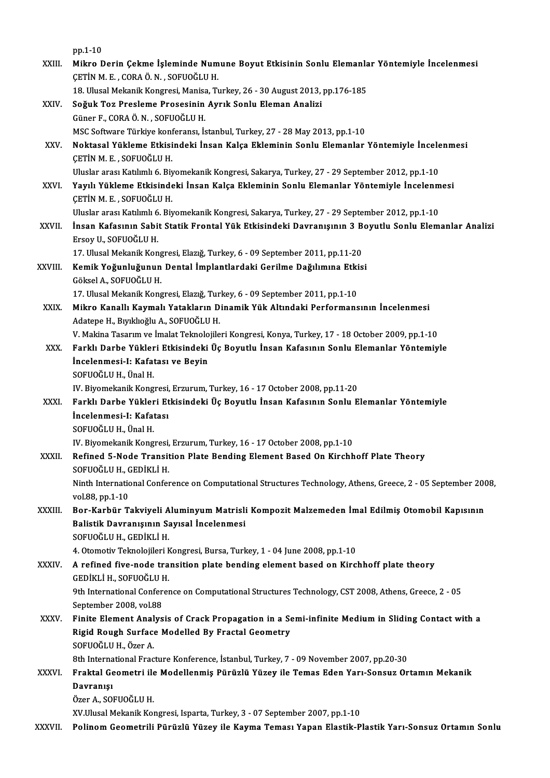|              | pp 1-10                                                                                                                                                     |
|--------------|-------------------------------------------------------------------------------------------------------------------------------------------------------------|
| XXIII.       | Mikro Derin Çekme İşleminde Numune Boyut Etkisinin Sonlu Elemanlar Yöntemiyle İncelenmesi                                                                   |
|              | ÇETİN M. E., CORA Ö. N., SOFUOĞLU H.                                                                                                                        |
|              | 18. Ulusal Mekanik Kongresi, Manisa, Turkey, 26 - 30 August 2013, pp.176-185                                                                                |
| XXIV.        | Soğuk Toz Presleme Prosesinin Ayrık Sonlu Eleman Analizi                                                                                                    |
|              | Güner F., CORA Ö. N., SOFUOĞLU H.                                                                                                                           |
| XXV.         | MSC Software Türkiye konferansı, İstanbul, Turkey, 27 - 28 May 2013, pp.1-10                                                                                |
|              | Noktasal Yükleme Etkisindeki İnsan Kalça Ekleminin Sonlu Elemanlar Yöntemiyle İncelenmesi<br>ÇETİN M. E., SOFUOĞLU H.                                       |
|              | Uluslar arası Katılımlı 6. Biyomekanik Kongresi, Sakarya, Turkey, 27 - 29 September 2012, pp.1-10                                                           |
| XXVI.        | Yayılı Yükleme Etkisindeki İnsan Kalça Ekleminin Sonlu Elemanlar Yöntemiyle İncelenmesi                                                                     |
|              | ÇETİN M. E., SOFUOĞLU H.                                                                                                                                    |
|              | Uluslar arası Katılımlı 6. Biyomekanik Kongresi, Sakarya, Turkey, 27 - 29 September 2012, pp.1-10                                                           |
| XXVII.       | İnsan Kafasının Sabit Statik Frontal Yük Etkisindeki Davranışının 3 Boyutlu Sonlu Elemanlar Analizi                                                         |
|              | Ersoy U, SOFUOĞLU H.                                                                                                                                        |
|              | 17. Ulusal Mekanik Kongresi, Elazığ, Turkey, 6 - 09 September 2011, pp.11-20                                                                                |
| XXVIII.      | Kemik Yoğunluğunun Dental İmplantlardaki Gerilme Dağılımına Etkisi                                                                                          |
|              | Göksel A., SOFUOĞLU H.                                                                                                                                      |
|              | 17. Ulusal Mekanik Kongresi, Elazığ, Turkey, 6 - 09 September 2011, pp.1-10                                                                                 |
| XXIX.        | Mikro Kanallı Kaymalı Yatakların Dinamik Yük Altındaki Performansının İncelenmesi                                                                           |
|              | Adatepe H., Bıyıklıoğlu A., SOFUOĞLU H.                                                                                                                     |
|              | V. Makina Tasarım ve İmalat Teknolojileri Kongresi, Konya, Turkey, 17 - 18 October 2009, pp.1-10                                                            |
| XXX.         | Farklı Darbe Yükleri Etkisindeki Üç Boyutlu İnsan Kafasının Sonlu Elemanlar Yöntemiyle                                                                      |
|              | İncelenmesi-I: Kafatası ve Beyin                                                                                                                            |
|              | SOFUOĞLU H., Ünal H.                                                                                                                                        |
|              | IV. Biyomekanik Kongresi, Erzurum, Turkey, 16 - 17 October 2008, pp.11-20                                                                                   |
| XXXI.        | Farklı Darbe Yükleri Etkisindeki Üç Boyutlu İnsan Kafasının Sonlu Elemanlar Yöntemiyle                                                                      |
|              | Incelenmesi-I: Kafatası                                                                                                                                     |
|              | SOFUOĞLU H., Ünal H.                                                                                                                                        |
| XXXII.       | IV. Biyomekanik Kongresi, Erzurum, Turkey, 16 - 17 October 2008, pp.1-10<br>Refined 5-Node Transition Plate Bending Element Based On Kirchhoff Plate Theory |
|              | SOFUOĞLU H., GEDİKLİ H.                                                                                                                                     |
|              | Ninth International Conference on Computational Structures Technology, Athens, Greece, 2 - 05 September 2008,                                               |
|              | vol 88, pp 1-10                                                                                                                                             |
| XXXIII.      | Bor-Karbür Takviyeli Aluminyum Matrisli Kompozit Malzemeden İmal Edilmiş Otomobil Kapısının                                                                 |
|              | Balistik Davranışının Sayısal İncelenmesi                                                                                                                   |
|              | SOFUOĞLU H., GEDİKLİ H.                                                                                                                                     |
|              | 4. Otomotiv Teknolojileri Kongresi, Bursa, Turkey, 1 - 04 June 2008, pp.1-10                                                                                |
| XXXIV.       | A refined five-node transition plate bending element based on Kirchhoff plate theory                                                                        |
|              | GEDİKLİ H., SOFUOĞLU H.                                                                                                                                     |
|              | 9th International Conference on Computational Structures Technology, CST 2008, Athens, Greece, 2 - 05                                                       |
|              | September 2008, vol 88                                                                                                                                      |
| XXXV.        | Finite Element Analysis of Crack Propagation in a Semi-infinite Medium in Sliding Contact with a                                                            |
|              | Rigid Rough Surface Modelled By Fractal Geometry                                                                                                            |
|              | SOFUOĞLU H., Özer A.                                                                                                                                        |
|              | 8th International Fracture Konference, İstanbul, Turkey, 7 - 09 November 2007, pp.20-30                                                                     |
| <b>XXXVI</b> | Fraktal Geometri ile Modellenmiş Pürüzlü Yüzey ile Temas Eden Yarı-Sonsuz Ortamın Mekanik                                                                   |
|              | Davranışı                                                                                                                                                   |
|              | Özer A., SOFUOĞLU H.                                                                                                                                        |
|              | XV.Ulusal Mekanik Kongresi, Isparta, Turkey, 3 - 07 September 2007, pp.1-10                                                                                 |
| XXXVII.      | Polinom Geometrili Pürüzlü Yüzey ile Kayma Teması Yapan Elastik-Plastik Yarı-Sonsuz Ortamın Sonlu                                                           |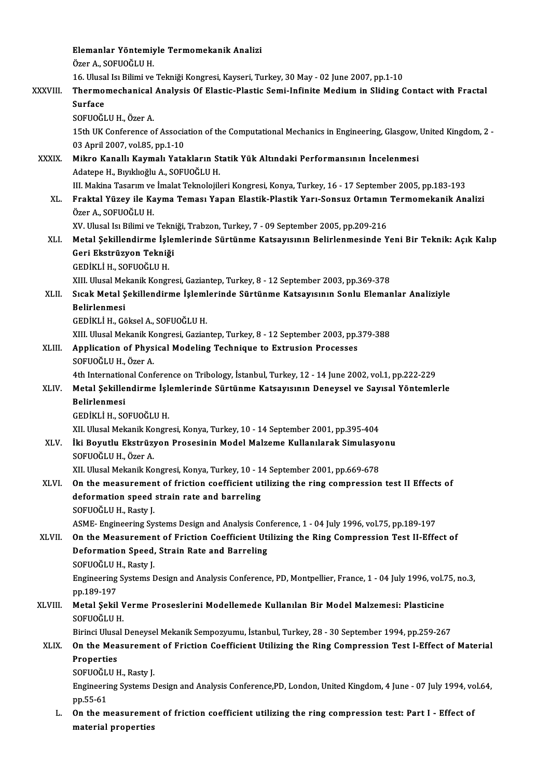|              | Elemanlar Yöntemiyle Termomekanik Analizi                                                                                                                                       |
|--------------|---------------------------------------------------------------------------------------------------------------------------------------------------------------------------------|
|              | Özer A., SOFUOĞLU H.                                                                                                                                                            |
|              | 16. Ulusal Isı Bilimi ve Tekniği Kongresi, Kayseri, Turkey, 30 May - 02 June 2007, pp.1-10                                                                                      |
| XXXVIII.     | Thermomechanical Analysis Of Elastic-Plastic Semi-Infinite Medium in Sliding Contact with Fractal                                                                               |
|              | <b>Surface</b>                                                                                                                                                                  |
|              | SOFUOĞLU H., Özer A.                                                                                                                                                            |
|              | 15th UK Conference of Association of the Computational Mechanics in Engineering, Glasgow, United Kingdom, 2 -                                                                   |
|              | 03 April 2007, vol.85, pp.1-10                                                                                                                                                  |
| <b>XXXIX</b> | Mikro Kanallı Kaymalı Yatakların Statik Yük Altındaki Performansının İncelenmesi                                                                                                |
|              | Adatepe H., Bıyıklıoğlu A., SOFUOĞLU H.                                                                                                                                         |
|              | III. Makina Tasarım ve İmalat Teknolojileri Kongresi, Konya, Turkey, 16 - 17 September 2005, pp.183-193                                                                         |
| XL.          | Fraktal Yüzey ile Kayma Teması Yapan Elastik-Plastik Yarı-Sonsuz Ortamın Termomekanik Analizi                                                                                   |
|              | Özer A., SOFUOĞLU H.                                                                                                                                                            |
|              | XV. Ulusal Isı Bilimi ve Tekniği, Trabzon, Turkey, 7 - 09 September 2005, pp.209-216                                                                                            |
| XLI.         | Metal Şekillendirme İşlemlerinde Sürtünme Katsayısının Belirlenmesinde Yeni Bir Teknik: Açık Kalıp                                                                              |
|              | Geri Ekstrüzyon Tekniği                                                                                                                                                         |
|              | GEDİKLİ H., SOFUOĞLU H.                                                                                                                                                         |
|              | XIII. Ulusal Mekanik Kongresi, Gaziantep, Turkey, 8 - 12 September 2003, pp.369-378                                                                                             |
| XLII.        | Sıcak Metal Şekillendirme İşlemlerinde Sürtünme Katsayısının Sonlu Elemanlar Analiziyle                                                                                         |
|              | <b>Belirlenmesi</b>                                                                                                                                                             |
|              | GEDİKLİ H., Göksel A., SOFUOĞLU H.                                                                                                                                              |
|              | XIII. Ulusal Mekanik Kongresi, Gaziantep, Turkey, 8 - 12 September 2003, pp.379-388                                                                                             |
| XLIII.       | Application of Physical Modeling Technique to Extrusion Processes                                                                                                               |
|              | SOFUOĞLU H., Özer A.                                                                                                                                                            |
|              | 4th International Conference on Tribology, İstanbul, Turkey, 12 - 14 June 2002, vol.1, pp.222-229                                                                               |
| XLIV.        | Metal Şekillendirme İşlemlerinde Sürtünme Katsayısının Deneysel ve Sayısal Yöntemlerle                                                                                          |
|              | <b>Belirlenmesi</b>                                                                                                                                                             |
|              | GEDİKLİ H., SOFUOĞLU H.                                                                                                                                                         |
|              | XII. Ulusal Mekanik Kongresi, Konya, Turkey, 10 - 14 September 2001, pp.395-404                                                                                                 |
| XLV.         | İki Boyutlu Ekstrüzyon Prosesinin Model Malzeme Kullanılarak Simulasyonu                                                                                                        |
|              | SOFUOĞLU H., Özer A.                                                                                                                                                            |
|              | XII. Ulusal Mekanik Kongresi, Konya, Turkey, 10 - 14 September 2001, pp.669-678<br>On the measurement of friction coefficient utilizing the ring compression test II Effects of |
| XLVI.        | deformation speed strain rate and barreling                                                                                                                                     |
|              | SOFUOĞLU H., Rasty J.                                                                                                                                                           |
|              | ASME- Engineering Systems Design and Analysis Conference, 1 - 04 July 1996, vol.75, pp.189-197                                                                                  |
| XLVII.       | On the Measurement of Friction Coefficient Utilizing the Ring Compression Test II-Effect of                                                                                     |
|              | Deformation Speed, Strain Rate and Barreling                                                                                                                                    |
|              | SOFUOĞLU H., Rasty J.                                                                                                                                                           |
|              | Engineering Systems Design and Analysis Conference, PD, Montpellier, France, 1 - 04 July 1996, vol.75, no.3,                                                                    |
|              | pp 189-197                                                                                                                                                                      |
| XLVIII.      | Metal Şekil Verme Proseslerini Modellemede Kullanılan Bir Model Malzemesi: Plasticine                                                                                           |
|              | SOFUOĞLU H                                                                                                                                                                      |
|              | Birinci Ulusal Deneysel Mekanik Sempozyumu, İstanbul, Turkey, 28 - 30 September 1994, pp.259-267                                                                                |
| XLIX.        | On the Measurement of Friction Coefficient Utilizing the Ring Compression Test I-Effect of Material                                                                             |
|              | Properties                                                                                                                                                                      |
|              | SOFUOĞLU H., Rasty J.                                                                                                                                                           |
|              | Engineering Systems Design and Analysis Conference,PD, London, United Kingdom, 4 June - 07 July 1994, vol.64,                                                                   |
|              | pp.55-61                                                                                                                                                                        |
| L.           | On the measurement of friction coefficient utilizing the ring compression test: Part I - Effect of                                                                              |
|              | material properties                                                                                                                                                             |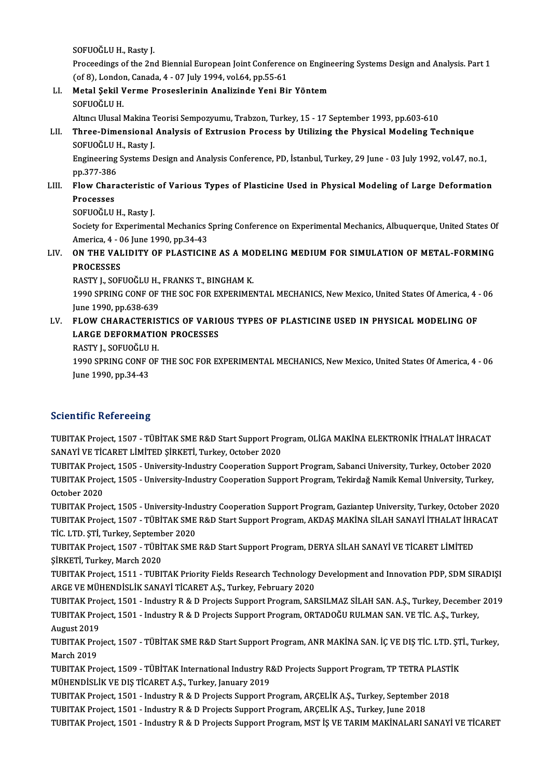SOFUOĞLUH.,Rasty J.

SOFUOĞLU H., Rasty J.<br>Proceedings of the 2nd Biennial European Joint Conference on Engineering Systems Design and Analysis. Part 1<br>(cf.9), Londan Ganada 4, .07 July 1994, yol.64, np EE.61. SOFUOĞLU H., Rasty J.<br>Proceedings of the 2nd Biennial European Joint Conferenc<br>(of 8), London, Canada, 4 - 07 July 1994, vol.64, pp.55-61<br>Metal Sakil Verme Proceelarinin Analizinde Veni Bit Proceedings of the 2nd Biennial European Joint Conference on Enginor (of 8), London, Canada, 4 - 07 July 1994, vol.64, pp.55-61<br>LI. Metal Şekil Verme Proseslerinin Analizinde Yeni Bir Yöntem<br>SOEUQČLU H

# (of 8), Londo<br>Metal Şekil V<br>SOFUOĞLU H.<br>Altıncı Ulusal I

SOFUOĞLU H.<br>Altıncı Ulusal Makina Teorisi Sempozyumu, Trabzon, Turkey, 15 - 17 September 1993, pp.603-610

## SOFUOĞLU H.<br>Altıncı Ulusal Makina Teorisi Sempozyumu, Trabzon, Turkey, 15 - 17 September 1993, pp.603-610<br>LII. Three-Dimensional Analysis of Extrusion Process by Utilizing the Physical Modeling Technique<br>SOEUOČLU H. Be Altıncı Ulusal Makina <mark>1</mark><br>Three-Dimensional<br>SOFUOĞLU H., Rasty J.<br>Engineering Systems I

SOFUOĞLU H., Rasty J.<br>Engineering Systems Design and Analysis Conference, PD, İstanbul, Turkey, 29 June - 03 July 1992, vol.47, no.1, SOFUOĞLU I<br>Engineering<br>pp.377-386<br>Elew Chara Engineering Systems Design and Analysis Conference, PD, İstanbul, Turkey, 29 June - 03 July 1992, vol.47, no.1,<br>pp.377-386<br>LIII. Flow Characteristic of Various Types of Plasticine Used in Physical Modeling of Large Deforma

## **pp.377-386<br>Flow Char<br>Processes<br>SOEUOČI U** Flow Characteristic<br>Processes<br>SOFUOĞLU H., Rasty J.<br>Society for Euperimen

Processes<br>SOFUOĞLU H., Rasty J.<br>Society for Experimental Mechanics Spring Conference on Experimental Mechanics, Albuquerque, United States Of SOFUOĞLU H., Rasty J.<br>Society for Experimental Mechanics !<br>America, 4 - 06 June 1990, pp.34-43<br>ON THE VALIDITY OF BLASTICIN Society for Experimental Mechanics Spring Conference on Experimental Mechanics, Albuquerque, United States Of<br>America, 4 - 06 June 1990, pp.34-43<br>LIV. ON THE VALIDITY OF PLASTICINE AS A MODELING MEDIUM FOR SIMULATION OF ME

## America, 4 - 0<br>**ON THE VAI<br>PROCESSES**<br>PASTV L SOE ON THE VALIDITY OF PLASTICINE AS A MO<br>PROCESSES<br>RASTY J., SOFUOĞLU H., FRANKS T., BINGHAM K.<br>1990 SPRINC CONE OF THE SOC FOR EXPERIME!

RASTY J., SOFUOĞLU H., FRANKS T., BINGHAM K.

PROCESSES<br>RASTY J., SOFUOĞLU H., FRANKS T., BINGHAM K.<br>1990 SPRING CONF OF THE SOC FOR EXPERIMENTAL MECHANICS, New Mexico, United States Of America, 4 - 06<br>June 1990, pp.638-639 1990 SPRING CONF OF THE SOC FOR EXPERIMENTAL MECHANICS, New Mexico, United States Of America, 4 June 1990, pp.638-639<br>LV. FLOW CHARACTERISTICS OF VARIOUS TYPES OF PLASTICINE USED IN PHYSICAL MODELING OF

## June 1990, pp.638-639<br>FLOW CHARACTERISTICS OF VARIC<br>LARGE DEFORMATION PROCESSES<br>PASTV L SOEUOČLILH FLOW CHARACTERIS<br>LARGE DEFORMATIO<br>RASTY J., SOFUOĞLU H.<br>1990 SPPINC CONE OF

RASTY J., SOFUOĞLU H.

LARGE DEFORMATION PROCESSES<br>RASTY J., SOFUOĞLU H.<br>1990 SPRING CONF OF THE SOC FOR EXPERIMENTAL MECHANICS, New Mexico, United States Of America, 4 - 06<br>June 1990, pp.34-43

### **Scientific Refereeing**

Scientific Refereeing<br>TUBITAK Project, 1507 - TÜBİTAK SME R&D Start Support Program, OLİGA MAKİNA ELEKTRONİK İTHALAT İHRACAT<br>SANAVİ VE TİÇARET I İMİTED SİRKETİ Turkov Ostober 2020 SSANAHIVE KETETLIMI<br>TUBITAK Project, 1507 - TÜBİTAK SME R&D Start Support Pro<br>SANAYİ VE TİCARET LİMİTED ŞİRKETİ, Turkey, October 2020<br>TUBITAK Project, 1505 - University Industry Cooneration Sun TUBITAK Project, 1507 - TÜBİTAK SME R&D Start Support Program, OLİGA MAKİNA ELEKTRONİK İTHALAT İHRACAT<br>SANAYİ VE TİCARET LİMİTED ŞİRKETİ, Turkey, October 2020<br>TUBITAK Project, 1505 - University-Industry Cooperation Support

SANAYİ VE TİCARET LİMİTED ŞİRKETİ, Turkey, October 2020<br>TUBITAK Project, 1505 - University-Industry Cooperation Support Program, Sabanci University, Turkey, October 2020<br>TUBITAK Project, 1505 - University-Industry Cooperat TUBITAK Project, 1505 - University-Industry Cooperation Support Program, Sabanci University, Turkey, October 2020

TUBITAK Project, 1505 - University-Industry Cooperation Support Program, Gaziantep University, Turkey, October 2020 October 2020<br>TUBITAK Project, 1505 - University-Industry Cooperation Support Program, Gaziantep University, Turkey, October 2020<br>TUBITAK Project, 1507 - TÜBİTAK SME R&D Start Support Program, AKDAŞ MAKİNA SİLAH SANAYİ İTHA TUBITAK Project, 1505 - University-Ind<br>TUBITAK Project, 1507 - TÜBİTAK SME<br>TİC. LTD. ŞTİ, Turkey, September 2020<br>TUBITAK Project, 1507 - TÜBİTAK SME TUBITAK Project, 1507 - TÜBİTAK SME R&D Start Support Program, AKDAŞ MAKİNA SİLAH SANAYİ İTHALAT İHR<br>TİC. LTD. ŞTİ, Turkey, September 2020<br>TUBITAK Project, 1507 - TÜBİTAK SME R&D Start Support Program, DERYA SİLAH SANAYİ V

TİC. LTD. ŞTİ, Turkey, September 2020<br>TUBITAK Project, 1507 - TÜBİTAK SME R&D Start Support Program, DERYA SİLAH SANAYİ VE TİCARET LİMİTED<br>ŞİRKETİ, Turkey, March 2020 TUBITAK Project, 1507 - TÜBİTAK SME R&D Start Support Program, DERYA SİLAH SANAYİ VE TİCARET LİMİTED<br>ŞİRKETİ, Turkey, March 2020<br>TUBITAK Project, 1511 - TUBITAK Priority Fields Research Technology Development and Innovatio

ŞİRKETİ, Turkey, March 2020<br>TUBITAK Project, 1511 - TUBITAK Priority Fields Research Technology<br>ARGE VE MÜHENDİSLİK SANAYİ TİCARET A.Ş., Turkey, February 2020<br>TUBITAK Project, 1501 - Industru B.S.D Projects Sunnert Program TUBITAK Project, 1511 - TUBITAK Priority Fields Research Technology Development and Innovation PDP, SDM SIRADIŞI<br>ARGE VE MÜHENDİSLİK SANAYİ TİCARET A.Ş., Turkey, February 2020<br>TUBITAK Project, 1501 - Industry R & D Project

ARGE VE MÜHENDİSLİK SANAYİ TİCARET A.Ş., Turkey, February 2020<br>TUBITAK Project, 1501 - Industry R & D Projects Support Program, SARSILMAZ SİLAH SAN. A.Ş., Turkey, December<br>TUBITAK Project, 1501 - Industry R & D Projects Su TUBITAK Proj<br>TUBITAK Proj<br>August 2019<br>TUBITAK Proj TUBITAK Project, 1501 - Industry R & D Projects Support Program, ORTADOĞU RULMAN SAN. VE TİC. A.Ş., Turkey,<br>August 2019<br>TUBITAK Project, 1507 - TÜBİTAK SME R&D Start Support Program, ANR MAKİNA SAN. İÇ VE DIŞ TİC. LTD. ŞTİ

August 2019<br>TUBITAK Pro<br>March 2019<br>TUBITAK Pro TUBITAK Project, 1507 - TÜBİTAK SME R&D Start Support Program, ANR MAKİNA SAN. İÇ VE DIŞ TİC. LTD. ŞT<br>March 2019<br>TUBITAK Project, 1509 - TÜBİTAK International Industry R&D Projects Support Program, TP TETRA PLASTİK<br>MÜHENDİ

March 2019<br>TUBITAK Project, 1509 - TÜBİTAK International Industry R&D Projects Support Program, TP TETRA PLASTİK<br>MÜHENDİSLİK VE DIŞ TİCARET A.Ş., Turkey, January 2019 TUBITAK Project, 1509 - TÜBİTAK International Industry R&D Projects Support Program, TP TETRA PLAST|<br>MÜHENDİSLİK VE DIŞ TİCARET A.Ş., Turkey, January 2019<br>TUBITAK Project, 1501 - Industry R & D Projects Support Program, AR

MÜHENDİSLİK VE DIŞ TİCARET A.Ş., Turkey, January 2019<br>TUBITAK Project, 1501 - Industry R & D Projects Support Program, ARÇELİK A.Ş., Turkey, September<br>TUBITAK Project, 1501 - Industry R & D Projects Support Program, ARÇELİ

TUBITAK Project, 1501 - Industry R & D Projects Support Program, ARÇELİK A.Ş., Turkey, June 2018<br>TUBITAK Project, 1501 - Industry R & D Projects Support Program, MST İŞ VE TARIM MAKİNALARI SANAYİ VE TİCARET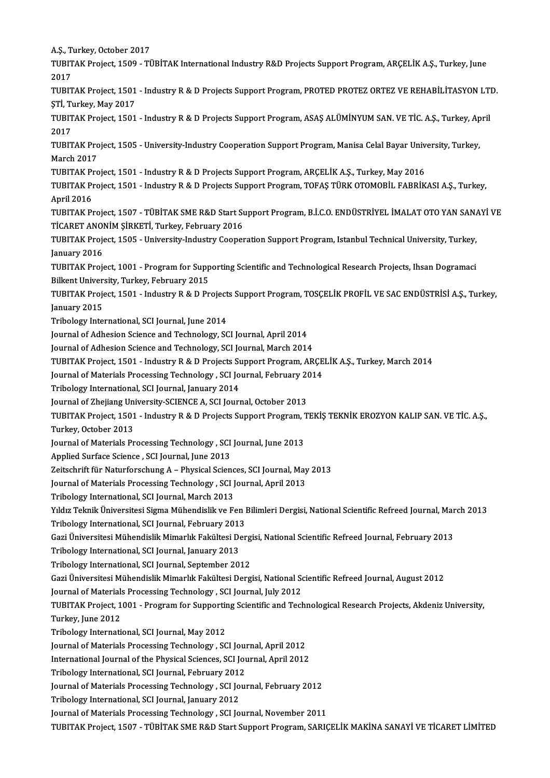A.Ş.,Turkey,October 2017 A.Ş., Turkey, October 2017<br>TUBITAK Project, 1509 - TÜBİTAK International Industry R&D Projects Support Program, ARÇELİK A.Ş., Turkey, June<br>2017 A.Ş., T<br>TUBIT<br>2017<br>TUBIT TUBITAK Project, 1509 - TÜBİTAK International Industry R&D Projects Support Program, ARÇELİK A.Ş., Turkey, June<br>2017<br>TUBITAK Project, 1501 - Industry R & D Projects Support Program, PROTED PROTEZ ORTEZ VE REHABİLİTASYON LT 2017<br>TUBITAK Project, 1501<br>ŞTİ, Turkey, May 2017<br>TUBITAK Project, 1501 TUBITAK Project, 1501 - Industry R & D Projects Support Program, PROTED PROTEZ ORTEZ VE REHABİLİTASYON LTI<br>ŞTİ, Turkey, May 2017<br>TUBITAK Project, 1501 - Industry R & D Projects Support Program, ASAŞ ALÜMİNYUM SAN. VE TİC. ŞTİ, Turkey, May 2017<br>TUBITAK Project, 1501<br>2017 TUBITAK Project, 1501 - Industry R & D Projects Support Program, ASAŞ ALÜMİNYUM SAN. VE TİC. A.Ş., Turkey, April<br>2017<br>TUBITAK Project, 1505 - University-Industry Cooperation Support Program, Manisa Celal Bayar University, TUBITAK Project, 1505 - University-Industry Cooperation Support Program, Manisa Celal Bayar University, Turkey, TUBITAK Project, 1505 - University-Industry Cooperation Support Program, Manisa Celal Bayar Univ<br>March 2017<br>TUBITAK Project, 1501 - Industry R & D Projects Support Program, ARÇELİK A.Ş., Turkey, May 2016<br>TUBITAK Project, 1 TUBITAK Project, 1501 - Industry R & D Projects Support Program, TOFAŞ TÜRK OTOMOBİL FABRİKASI A.Ş., Turkey,<br>April 2016 TUBITAK P<mark>i</mark><br>TUBITAK Pi<br>April 2016<br>TUBITAK Pi TUBITAK Project, 1507 - TÜBİTAK SME R&D Start Support Program, B.İ.C.O. ENDÜSTRİYEL İMALAT OTO YAN SANAYİ VE April 2016<br>TUBITAK Project, 1507 - TÜBİTAK SME R&D Start St<br>TİCARET ANONİM ŞİRKETİ, Turkey, February 2016<br>TUBITAK Project, 1505 - University Industry Cooper TUBITAK Project, 1507 - TÜBİTAK SME R&D Start Support Program, B.İ.C.O. ENDÜSTRİYEL İMALAT OTO YAN SAN*ı*<br>TİCARET ANONİM ŞİRKETİ, Turkey, February 2016<br>TUBITAK Project, 1505 - University-Industry Cooperation Support Progra TİCARET ANOI<br>TUBITAK Proje<br>January 2016<br>TUBITAK Proj TUBITAK Project, 1505 - University-Industry Cooperation Support Program, Istanbul Technical University, Turkey,<br>January 2016<br>TUBITAK Project, 1001 - Program for Supporting Scientific and Technological Research Projects, Ih January 2016<br>TUBITAK Project, 1001 - Program for Supporting Scientific and Technological Research Projects, Ihsan Dogramaci<br>Bilkent University, Turkey, February 2015 TUBITAK Project, 1001 - Program for Supporting Scientific and Technological Research Projects, Ihsan Dogramaci<br>Bilkent University, Turkey, February 2015<br>TUBITAK Project, 1501 - Industry R & D Projects Support Program, TOSÇ Bilkent Univer<br>TUBITAK Proje<br>January 2015<br>Tribology Inte TUBITAK Project, 1501 - Industry R & D Project<br>January 2015<br>Tribology International, SCI Journal, June 2014<br>Journal of Adbesian Ssiance and Technology, SC January 2015<br>Tribology International, SCI Journal, June 2014<br>Journal of Adhesion Science and Technology, SCI Journal, April 2014 Tribology International, SCI Journal, June 2014<br>Journal of Adhesion Science and Technology, SCI Journal, April 2014<br>Journal of Adhesion Science and Technology, SCI Journal, March 2014<br>TURITAK Project, 1501 , Industry B. & Journal of Adhesion Science and Technology, SCI Journal, April 2014<br>Journal of Adhesion Science and Technology, SCI Journal, March 2014<br>TUBITAK Project, 1501 - Industry R & D Projects Support Program, ARÇELİK A.Ş., Turkey, Journal of Adhesion Science and Technology, SCI Journal, March 2014<br>TUBITAK Project, 1501 - Industry R & D Projects Support Program, ARÇE<br>Journal of Materials Processing Technology , SCI Journal, February 2014<br>Tribology In TUBITAK Project, 1501 - Industry R & D Projects St<br>Journal of Materials Processing Technology , SCI Jo<br>Tribology International, SCI Journal, January 2014<br>Journal of Zhojjang University SCIENCE A SCI Journ Journal of Materials Processing Technology , SCI Journal, February 2014<br>Tribology International, SCI Journal, January 2014 Tribology International, SCI Journal, January 2014<br>Journal of Zhejiang University-SCIENCE A, SCI Journal, October 2013<br>Turkay, Ostober 2012<br>Turkay, Ostober 2012 Journal of Zhejiang University-SCIENCE A, SCI Journal, October 2013<br>TUBITAK Project, 1501 - Industry R & D Projects Support Program, T<br>Turkey, October 2013 TUBITAK Project, 1501 - Industry R & D Projects Support Program, 1<br>Turkey, October 2013<br>Journal of Materials Processing Technology , SCI Journal, June 2013<br>Annlied Surface Science, SCI Journal, June 2013 Journal of Materials Processing Technology, SCI Journal, June 2013<br>Applied Surface Science, SCI Journal, June 2013 Journal of Materials Processing Technology , SCI Journal, June 2013<br>Applied Surface Science , SCI Journal, June 2013<br>Zeitschrift für Naturforschung A – Physical Sciences, SCI Journal, May 2013<br>Journal of Materials Processi Applied Surface Science , SCI Journal, June 2013<br>Zeitschrift für Naturforschung A – Physical Sciences, SCI Journal, May<br>Journal of Materials Processing Technology , SCI Journal, April 2013<br>Tribology International SCI Journ Zeitschrift für Naturforschung A – Physical Scienc<br>Journal of Materials Processing Technology , SCI J<br>Tribology International, SCI Journal, March 2013<br>Vildy Telmik Ünivensitesi Sigma Mühandialik ve Es Journal of Materials Processing Technology , SCI Journal, April 2013<br>Tribology International, SCI Journal, March 2013<br>Yıldız Teknik Üniversitesi Sigma Mühendislik ve Fen Bilimleri Dergisi, National Scientific Refreed Journ Tribology International, SCI Journal, March 2013<br>Yıldız Teknik Üniversitesi Sigma Mühendislik ve Fen I<br>Tribology International, SCI Journal, February 2013<br>Ceri Üniversitesi Mühendislik Mimerlik Fekültesi Den Yıldız Teknik Üniversitesi Sigma Mühendislik ve Fen Bilimleri Dergisi, National Scientific Refreed Journal, Mar<br>Tribology International, SCI Journal, February 2013<br>Gazi Üniversitesi Mühendislik Mimarlık Fakültesi Dergisi, Tribology International, SCI Journal, February 2013<br>Gazi Üniversitesi Mühendislik Mimarlık Fakültesi De<br>Tribology International, SCI Journal, January 2013<br>Tribology International, SCI Journal, Jontember 20 Gazi Üniversitesi Mühendislik Mimarlık Fakültesi Derg<br>Tribology International, SCI Journal, January 2013<br>Tribology International, SCI Journal, September 2012<br>Cari Üniversitesi Mühendislik Mimarlık Fakültesi Derg Tribology International, SCI Journal, September 2012<br>Gazi Üniversitesi Mühendislik Mimarlık Fakültesi Dergisi, National Scientific Refreed Journal, August 2012 Journal of Materials Processing Technology , SCI Journal, July 2012 Gazi Üniversitesi Mühendislik Mimarlık Fakültesi Dergisi, National Scientific Refreed Journal, August 2012<br>Journal of Materials Processing Technology , SCI Journal, July 2012<br>TUBITAK Project, 1001 - Program for Supporting Journal of Material<br>TUBITAK Project, 1<br>Turkey, June 2012<br>Tribology Internati TUBITAK Project, 1001 - Program for Supportin<br>Turkey, June 2012<br>Tribology International, SCI Journal, May 2012<br>Journal of Materials Processing Technology, SC Turkey, June 2012<br>Tribology International, SCI Journal, May 2012<br>Journal of Materials Processing Technology , SCI Journal, April 2012<br>International Journal of the Physical Sciences, SCI Journal, April 2012 Tribology International, SCI Journal, May 2012<br>Journal of Materials Processing Technology , SCI Journal, April 2012<br>International Journal of the Physical Sciences, SCI Journal, April 2012<br>Tribology International, SCI Journ Journal of Materials Processing Technology , SCI Journal<br>International Journal of the Physical Sciences, SCI Journal<br>Tribology International, SCI Journal, February 2012<br>Journal of Materials Processing Technology , SCI Jour International Journal of the Physical Sciences, SCI Journal, April 2012<br>Tribology International, SCI Journal, February 2012<br>Journal of Materials Processing Technology , SCI Journal, February 2012<br>Tribology International SC Tribology International, SCI Journal, February 2012<br>Journal of Materials Processing Technology , SCI Jo<br>Tribology International, SCI Journal, January 2012<br>Journal of Materials Processing Technology , SCI Jo Tribology International, SCI Journal, January 2012<br>Journal of Materials Processing Technology , SCI Journal, November 2011 TUBITAK Project, 1507 - TÜBİTAK SME R&D Start Support Program, SARIÇELİK MAKİNA SANAYİ VE TİCARET LİMİTED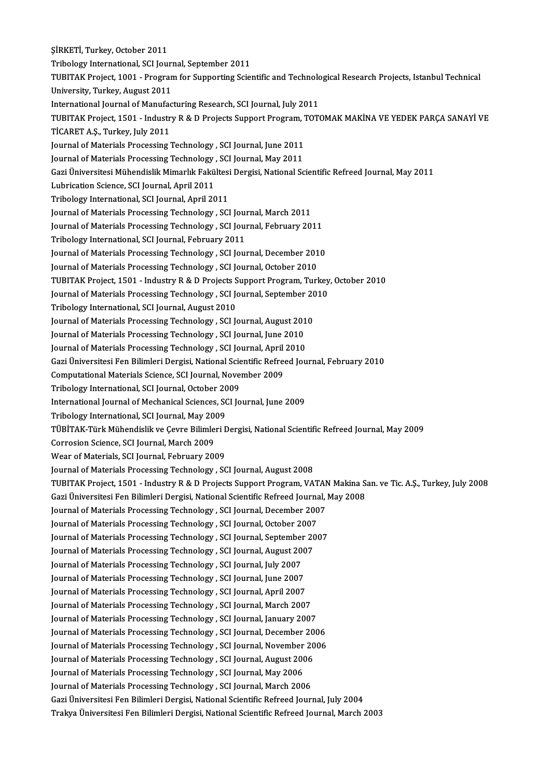ŞİRKETİ,Turkey,October 2011 Tribology International, SCI Journal, September 2011 TUBITAK Project, 1001 - Program for Supporting Scientific and Technological Research Projects, Istanbul Technical University, Turkey, August 2011 TUBITAK Project, 1001 - Program for Supporting Scientific and Technolo<br>University, Turkey, August 2011<br>International Journal of Manufacturing Research, SCI Journal, July 2011<br>TUBITAK Project, 1501 - Industry P. & D. Projec University, Turkey, August 2011<br>International Journal of Manufacturing Research, SCI Journal, July 2011<br>TUBITAK Project, 1501 - Industry R & D Projects Support Program, TOTOMAK MAKİNA VE YEDEK PARÇA SANAYİ VE<br>TİCARET A S. International Journal of Manufac<br>TUBITAK Project, 1501 - Industr<br>TİCARET A.Ş., Turkey, July 2011<br>Journal of Matorials Processing TUBITAK Project, 1501 - Industry R & D Projects Support Program, 1<br>TiCARET A.Ş., Turkey, July 2011<br>Journal of Materials Processing Technology , SCI Journal, June 2011<br>Journal of Materials Processing Technology , SCI Journa TICARET A.Ş., Turkey, July 2011<br>Journal of Materials Processing Technology , SCI Journal, June 2011<br>Journal of Materials Processing Technology , SCI Journal, May 2011 Journal of Materials Processing Technology , SCI Journal, June 2011<br>Journal of Materials Processing Technology , SCI Journal, May 2011<br>Gazi Üniversitesi Mühendislik Mimarlık Fakültesi Dergisi, National Scientific Refreed J Journal of Materials Processing Technology<br>Gazi Üniversitesi Mühendislik Mimarlık Fakü<br>Lubrication Science, SCI Journal, April 2011<br>Tribology International, SCI Journal, April 20 Gazi Üniversitesi Mühendislik Mimarlık Fakültesi<br>Lubrication Science, SCI Journal, April 2011<br>Tribology International, SCI Journal, April 2011<br>Journal of Materials Processing Technology - SCI Lubrication Science, SCI Journal, April 2011<br>Tribology International, SCI Journal, April 2011<br>Journal of Materials Processing Technology , SCI Journal, March 2011 Tribology International, SCI Journal, April 2011<br>Journal of Materials Processing Technology , SCI Journal, March 2011<br>Journal of Materials Processing Technology , SCI Journal, February 2011<br>Tribology International SCI Jour Journal of Materials Processing Technology , SCI Journal of Materials Processing Technology , SCI Journal, February<br>2011 Tribology International, SCI Journal, February<br>2011 Iournal of Materials Processing Technology , SCI Journal of Materials Processing Technology , SCI Journal, February 2011<br>Tribology International, SCI Journal, February 2011<br>Journal of Materials Processing Technology , SCI Journal, December 2010<br>Journal of Materials Proce Tribology International, SCI Journal, February 2011<br>Journal of Materials Processing Technology , SCI Journal, December 2010<br>Journal of Materials Processing Technology , SCI Journal, October 2010 TUBITAKProject,1501 - IndustryR&DProjects SupportProgram,Turkey,October 2010 Journal of Materials Processing Technology , SCI Journal, October 2010<br>TUBITAK Project, 1501 - Industry R & D Projects Support Program, Turkey<br>Journal of Materials Processing Technology , SCI Journal, September 2010<br>Tribol TUBITAK Project, 1501 - Industry R & D Projects S<br>Journal of Materials Processing Technology , SCI Journal, August<br>2010 Iournal of Materials Processing Technology , SCI Jo Journal of Materials Processing Technology , SCI Journal, September 2C<br>Tribology International, SCI Journal, August 2010<br>Journal of Materials Processing Technology , SCI Journal, August 2010<br>Journal of Materials Processing Tribology International, SCI Journal, August 2010<br>Journal of Materials Processing Technology , SCI Journal, August 2010<br>Journal of Materials Processing Technology , SCI Journal, June 2010 Journal of Materials Processing Technology , SCI Journal, August 201<br>Journal of Materials Processing Technology , SCI Journal, June 2010<br>Journal of Materials Processing Technology , SCI Journal, April 2010<br>Cari Universites Journal of Materials Processing Technology , SCI Journal, June 2010<br>Journal of Materials Processing Technology , SCI Journal, April 2010<br>Gazi Üniversitesi Fen Bilimleri Dergisi, National Scientific Refreed Journal, Februar Journal of Materials Processing Technology , SCI Journal, April<br>Gazi Üniversitesi Fen Bilimleri Dergisi, National Scientific Refre<br>Computational Materials Science, SCI Journal, November 2009<br>Tribology International SCI Jou Gazi Üniversitesi Fen Bilimleri Dergisi, National Scie<br>Computational Materials Science, SCI Journal, Nove<br>Tribology International, SCI Journal, October 2009<br>International Journal of Mechanical Sciences, SCI Jo Computational Materials Science, SCI Journal, November 2009<br>Tribology International, SCI Journal, October 2009<br>International Journal of Mechanical Sciences, SCI Journal, June 2009<br>Tribology International, SCI Journal, May Tribology International, SCI Journal, October 2009 International Journal of Mechanical Sciences, SCI Journal, June 2009<br>Tribology International, SCI Journal, May 2009<br>TÜBİTAK-Türk Mühendislik ve Çevre Bilimleri Dergisi, National Scientific Refreed Journal, May 2009<br>Corresi Tribology International, SCI Journal, May 200<br>TÜBİTAK-Türk Mühendislik ve Çevre Bilimle:<br>Corrosion Science, SCI Journal, March 2009<br>Wear of Materials, SCI Journal, February 200 TÜBİTAK-Türk Mühendislik ve Çevre Bilimleri I<br>Corrosion Science, SCI Journal, March 2009<br>Wear of Materials, SCI Journal, February 2009<br>Journal of Materials Processing Technology, SC Corrosion Science, SCI Journal, March 2009<br>Wear of Materials, SCI Journal, February 2009<br>Journal of Materials Processing Technology , SCI Journal, August 2008 Wear of Materials, SCI Journal, February 2009<br>Journal of Materials Processing Technology , SCI Journal, August 2008<br>TUBITAK Project, 1501 - Industry R & D Projects Support Program, VATAN Makina San. ve Tic. A.Ş., Turkey, J Journal of Materials Processing Technology , SCI Journal, August 2008<br>TUBITAK Project, 1501 - Industry R & D Projects Support Program, VATAN Makina S.<br>Gazi Üniversitesi Fen Bilimleri Dergisi, National Scientific Refreed Jo TUBITAK Project, 1501 - Industry R & D Projects Support Program, VATAN<br>Gazi Üniversitesi Fen Bilimleri Dergisi, National Scientific Refreed Journal,<br>Journal of Materials Processing Technology , SCI Journal, December 2007<br>J Gazi Üniversitesi Fen Bilimleri Dergisi, National Scientific Refreed Journal, May 2008<br>Journal of Materials Processing Technology , SCI Journal, December 2007<br>Journal of Materials Processing Technology , SCI Journal, Octob Journal of Materials Processing Technology , SCI Journal, September 2007 Journal of Materials Processing Technology , SCI Journal, October 2007<br>Journal of Materials Processing Technology , SCI Journal, September 20<br>Journal of Materials Processing Technology , SCI Journal, August 2007<br>Journal of Journal of Materials Processing Technology , SCI Journal, September<br>Journal of Materials Processing Technology , SCI Journal, August 20<br>Journal of Materials Processing Technology , SCI Journal, July 2007<br>Journal of Materia Journal of Materials Processing Technology , SCI Journal, August 200<br>Journal of Materials Processing Technology , SCI Journal, July 2007<br>Journal of Materials Processing Technology , SCI Journal, June 2007<br>Journal of Materi Journal of Materials Processing Technology , SCI Journal, July 2007<br>Journal of Materials Processing Technology , SCI Journal, June 2007<br>Journal of Materials Processing Technology , SCI Journal, April 2007 Journal of Materials Processing Technology , SCI Journal, June 2007<br>Journal of Materials Processing Technology , SCI Journal, April 2007<br>Journal of Materials Processing Technology , SCI Journal, March 2007<br>Journal of Mater Journal of Materials Processing Technology , SCI Journal, April 2007<br>Journal of Materials Processing Technology , SCI Journal, March 2007<br>Journal of Materials Processing Technology , SCI Journal, January 2007<br>Journal of Ma Journal of Materials Processing Technology , SCI Journal, March 2007<br>Journal of Materials Processing Technology , SCI Journal, January 2007<br>Journal of Materials Processing Technology , SCI Journal, December 2006<br>Journal of Journal of Materials Processing Technology , SCI Journal, January 2007<br>Journal of Materials Processing Technology , SCI Journal, December 2006<br>Journal of Materials Processing Technology , SCI Journal, November 2006<br>Journal Journal of Materials Processing Technology , SCI Journal, December 20<br>Journal of Materials Processing Technology , SCI Journal, November 20<br>Journal of Materials Processing Technology , SCI Journal, August 2006<br>Journal of M Journal of Materials Processing Technology , SCI Journal, November<br>Journal of Materials Processing Technology , SCI Journal, August 2006<br>Journal of Materials Processing Technology , SCI Journal, May 2006<br>Journal of Materia Journal of Materials Processing Technology , SCI Journal, August 2006<br>Journal of Materials Processing Technology , SCI Journal, May 2006<br>Journal of Materials Processing Technology , SCI Journal, March 2006 Gazi Üniversitesi Fen Bilimleri Dergisi, National Scientific Refreed Journal, July 2004 Trakya Üniversitesi Fen Bilimleri Dergisi, National Scientific Refreed Journal, March 2003